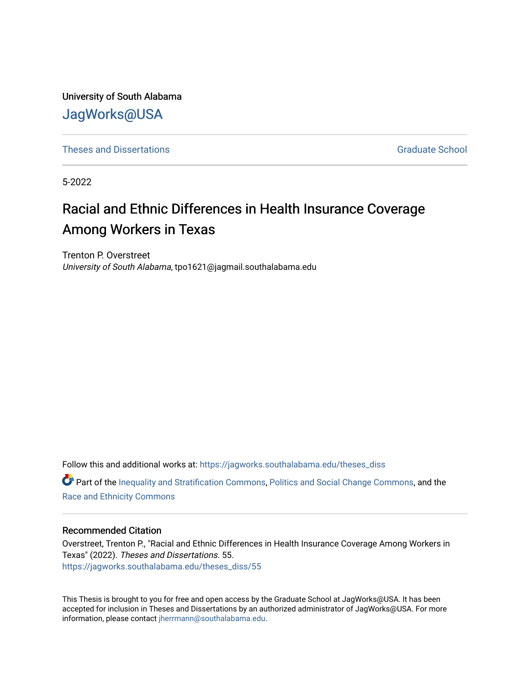University of South Alabama [JagWorks@USA](https://jagworks.southalabama.edu/) 

**[Theses and Dissertations](https://jagworks.southalabama.edu/theses_diss)** [Graduate School](https://jagworks.southalabama.edu/gradschool) **Contract of Contract Act 2016** Graduate School

5-2022

# Racial and Ethnic Differences in Health Insurance Coverage Among Workers in Texas

Trenton P. Overstreet University of South Alabama, tpo1621@jagmail.southalabama.edu

Follow this and additional works at: [https://jagworks.southalabama.edu/theses\\_diss](https://jagworks.southalabama.edu/theses_diss?utm_source=jagworks.southalabama.edu%2Ftheses_diss%2F55&utm_medium=PDF&utm_campaign=PDFCoverPages) 

**P** Part of the [Inequality and Stratification Commons](https://network.bepress.com/hgg/discipline/421?utm_source=jagworks.southalabama.edu%2Ftheses_diss%2F55&utm_medium=PDF&utm_campaign=PDFCoverPages), [Politics and Social Change Commons](https://network.bepress.com/hgg/discipline/425?utm_source=jagworks.southalabama.edu%2Ftheses_diss%2F55&utm_medium=PDF&utm_campaign=PDFCoverPages), and the [Race and Ethnicity Commons](https://network.bepress.com/hgg/discipline/426?utm_source=jagworks.southalabama.edu%2Ftheses_diss%2F55&utm_medium=PDF&utm_campaign=PDFCoverPages)

## Recommended Citation

Overstreet, Trenton P., "Racial and Ethnic Differences in Health Insurance Coverage Among Workers in Texas" (2022). Theses and Dissertations. 55. [https://jagworks.southalabama.edu/theses\\_diss/55](https://jagworks.southalabama.edu/theses_diss/55?utm_source=jagworks.southalabama.edu%2Ftheses_diss%2F55&utm_medium=PDF&utm_campaign=PDFCoverPages) 

This Thesis is brought to you for free and open access by the Graduate School at JagWorks@USA. It has been accepted for inclusion in Theses and Dissertations by an authorized administrator of JagWorks@USA. For more information, please contact [jherrmann@southalabama.edu.](mailto:jherrmann@southalabama.edu)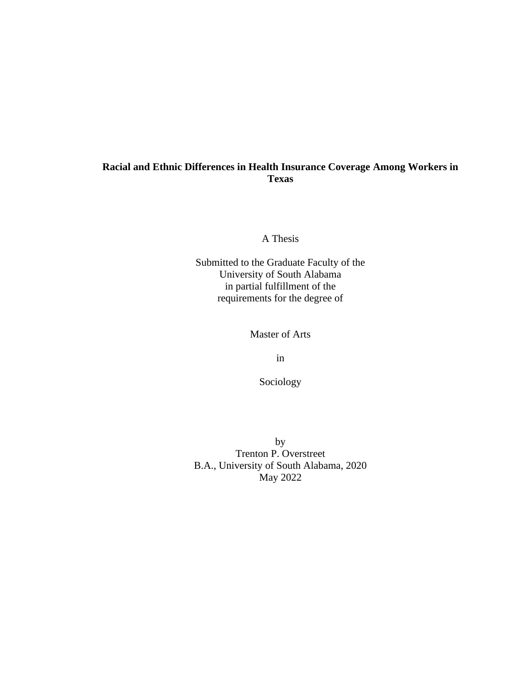## **Racial and Ethnic Differences in Health Insurance Coverage Among Workers in Texas**

A Thesis

Submitted to the Graduate Faculty of the University of South Alabama in partial fulfillment of the requirements for the degree of

Master of Arts

in

Sociology

by Trenton P. Overstreet B.A., University of South Alabama, 2020 May 2022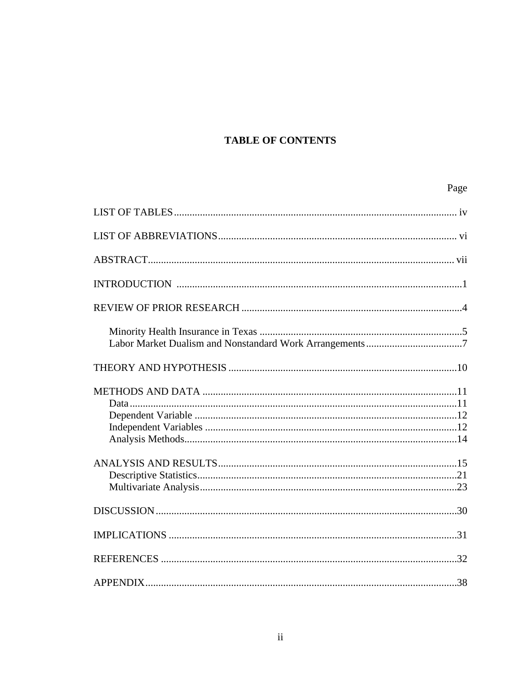# **TABLE OF CONTENTS**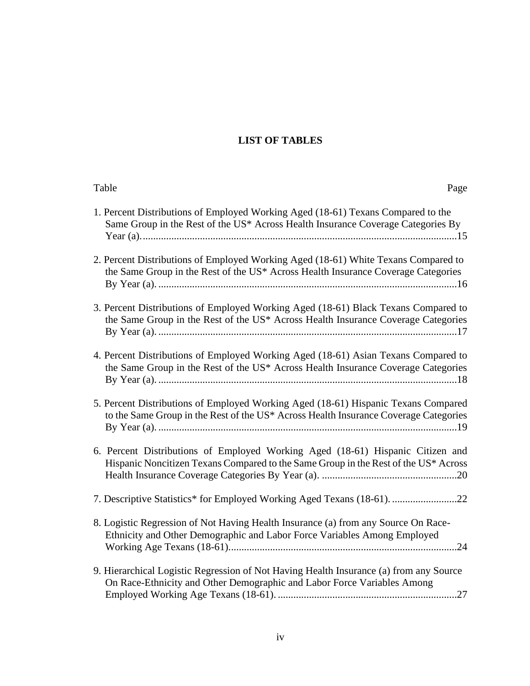# **LIST OF TABLES**

| Table<br>Page                                                                                                                                                              |
|----------------------------------------------------------------------------------------------------------------------------------------------------------------------------|
| 1. Percent Distributions of Employed Working Aged (18-61) Texans Compared to the<br>Same Group in the Rest of the US* Across Health Insurance Coverage Categories By       |
| 2. Percent Distributions of Employed Working Aged (18-61) White Texans Compared to<br>the Same Group in the Rest of the US* Across Health Insurance Coverage Categories    |
| 3. Percent Distributions of Employed Working Aged (18-61) Black Texans Compared to<br>the Same Group in the Rest of the US* Across Health Insurance Coverage Categories    |
| 4. Percent Distributions of Employed Working Aged (18-61) Asian Texans Compared to<br>the Same Group in the Rest of the US* Across Health Insurance Coverage Categories    |
| 5. Percent Distributions of Employed Working Aged (18-61) Hispanic Texans Compared<br>to the Same Group in the Rest of the US* Across Health Insurance Coverage Categories |
| 6. Percent Distributions of Employed Working Aged (18-61) Hispanic Citizen and<br>Hispanic Noncitizen Texans Compared to the Same Group in the Rest of the US* Across      |
| 7. Descriptive Statistics* for Employed Working Aged Texans (18-61). 22                                                                                                    |
| 8. Logistic Regression of Not Having Health Insurance (a) from any Source On Race-<br>Ethnicity and Other Demographic and Labor Force Variables Among Employed             |
| 9. Hierarchical Logistic Regression of Not Having Health Insurance (a) from any Source<br>On Race-Ethnicity and Other Demographic and Labor Force Variables Among          |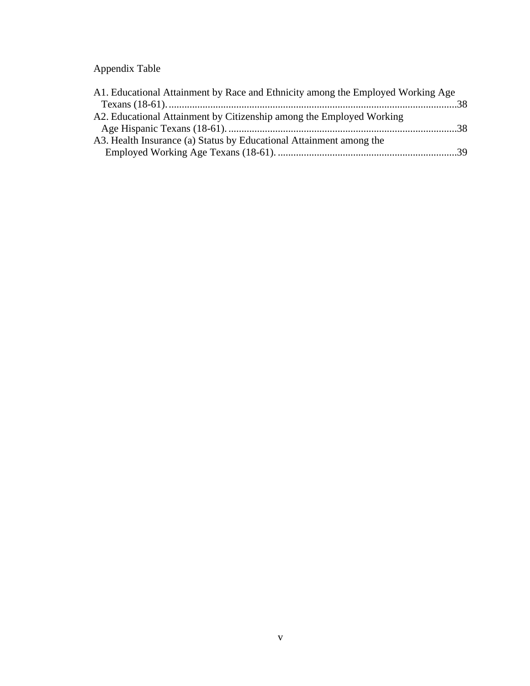# Appendix Table

| A1. Educational Attainment by Race and Ethnicity among the Employed Working Age |  |
|---------------------------------------------------------------------------------|--|
|                                                                                 |  |
| A2. Educational Attainment by Citizenship among the Employed Working            |  |
|                                                                                 |  |
| A3. Health Insurance (a) Status by Educational Attainment among the             |  |
|                                                                                 |  |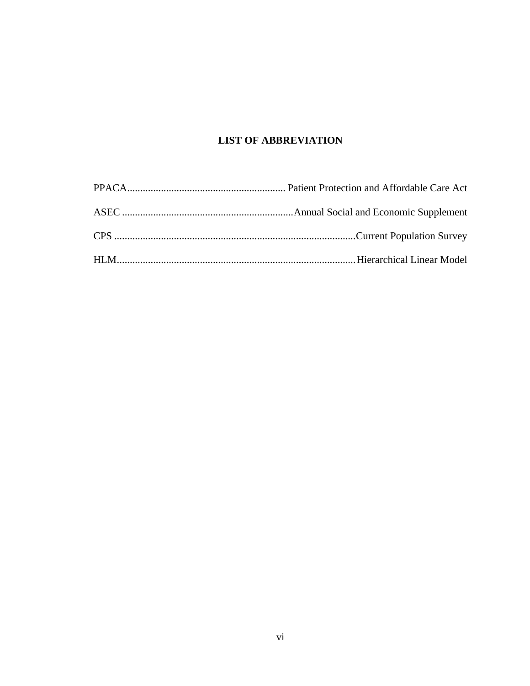## **LIST OF ABBREVIATION**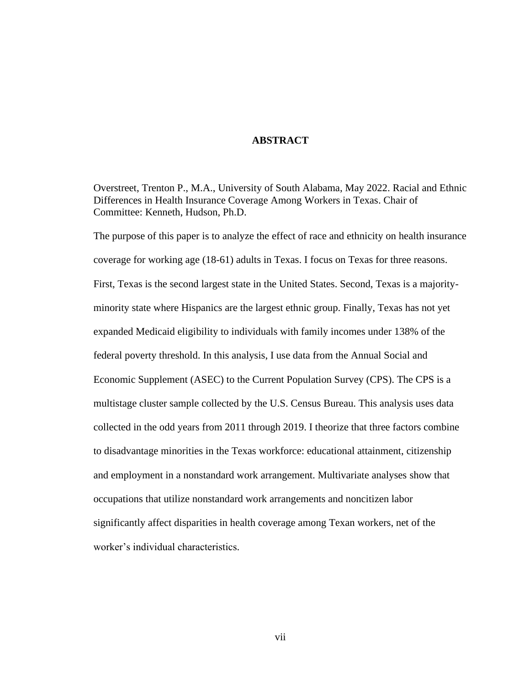## **ABSTRACT**

Overstreet, Trenton P., M.A., University of South Alabama, May 2022. Racial and Ethnic Differences in Health Insurance Coverage Among Workers in Texas. Chair of Committee: Kenneth, Hudson, Ph.D.

The purpose of this paper is to analyze the effect of race and ethnicity on health insurance coverage for working age (18-61) adults in Texas. I focus on Texas for three reasons. First, Texas is the second largest state in the United States. Second, Texas is a majorityminority state where Hispanics are the largest ethnic group. Finally, Texas has not yet expanded Medicaid eligibility to individuals with family incomes under 138% of the federal poverty threshold. In this analysis, I use data from the Annual Social and Economic Supplement (ASEC) to the Current Population Survey (CPS). The CPS is a multistage cluster sample collected by the U.S. Census Bureau. This analysis uses data collected in the odd years from 2011 through 2019. I theorize that three factors combine to disadvantage minorities in the Texas workforce: educational attainment, citizenship and employment in a nonstandard work arrangement. Multivariate analyses show that occupations that utilize nonstandard work arrangements and noncitizen labor significantly affect disparities in health coverage among Texan workers, net of the worker's individual characteristics.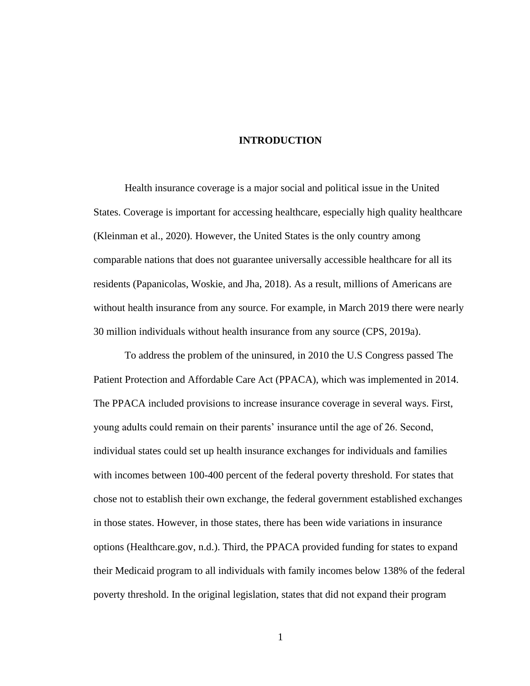## **INTRODUCTION**

Health insurance coverage is a major social and political issue in the United States. Coverage is important for accessing healthcare, especially high quality healthcare (Kleinman et al., 2020). However, the United States is the only country among comparable nations that does not guarantee universally accessible healthcare for all its residents (Papanicolas, Woskie, and Jha, 2018). As a result, millions of Americans are without health insurance from any source. For example, in March 2019 there were nearly 30 million individuals without health insurance from any source (CPS, 2019a).

To address the problem of the uninsured, in 2010 the U.S Congress passed The Patient Protection and Affordable Care Act (PPACA), which was implemented in 2014. The PPACA included provisions to increase insurance coverage in several ways. First, young adults could remain on their parents' insurance until the age of 26. Second, individual states could set up health insurance exchanges for individuals and families with incomes between 100-400 percent of the federal poverty threshold. For states that chose not to establish their own exchange, the federal government established exchanges in those states. However, in those states, there has been wide variations in insurance options (Healthcare.gov, n.d.). Third, the PPACA provided funding for states to expand their Medicaid program to all individuals with family incomes below 138% of the federal poverty threshold. In the original legislation, states that did not expand their program

1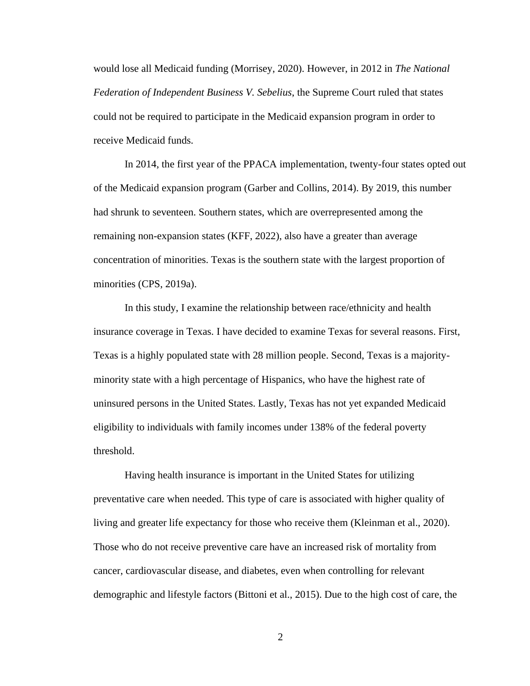would lose all Medicaid funding (Morrisey, 2020). However, in 2012 in *The National Federation of Independent Business V. Sebelius*, the Supreme Court ruled that states could not be required to participate in the Medicaid expansion program in order to receive Medicaid funds.

In 2014, the first year of the PPACA implementation, twenty-four states opted out of the Medicaid expansion program (Garber and Collins, 2014). By 2019, this number had shrunk to seventeen. Southern states, which are overrepresented among the remaining non-expansion states (KFF, 2022), also have a greater than average concentration of minorities. Texas is the southern state with the largest proportion of minorities (CPS, 2019a).

In this study, I examine the relationship between race/ethnicity and health insurance coverage in Texas. I have decided to examine Texas for several reasons. First, Texas is a highly populated state with 28 million people. Second, Texas is a majorityminority state with a high percentage of Hispanics, who have the highest rate of uninsured persons in the United States. Lastly, Texas has not yet expanded Medicaid eligibility to individuals with family incomes under 138% of the federal poverty threshold.

Having health insurance is important in the United States for utilizing preventative care when needed. This type of care is associated with higher quality of living and greater life expectancy for those who receive them (Kleinman et al., 2020). Those who do not receive preventive care have an increased risk of mortality from cancer, cardiovascular disease, and diabetes, even when controlling for relevant demographic and lifestyle factors (Bittoni et al., 2015). Due to the high cost of care, the

2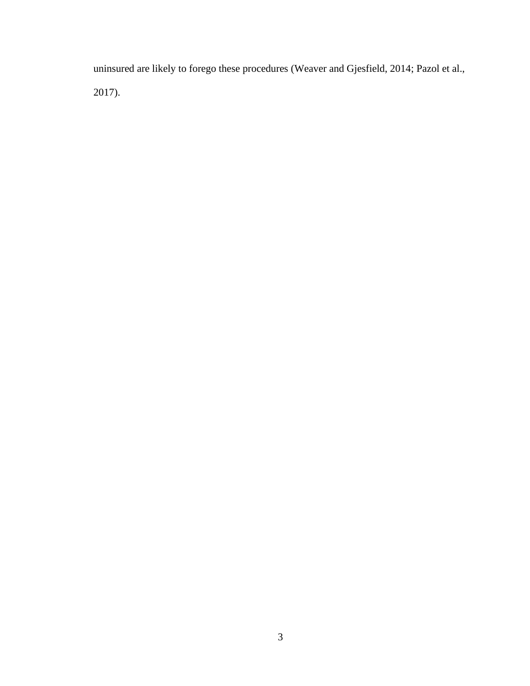uninsured are likely to forego these procedures (Weaver and Gjesfield, 2014; Pazol et al., 2017).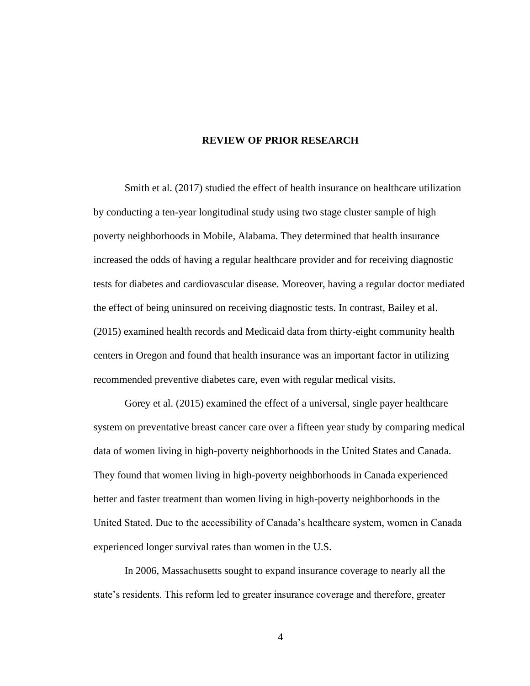## **REVIEW OF PRIOR RESEARCH**

Smith et al. (2017) studied the effect of health insurance on healthcare utilization by conducting a ten-year longitudinal study using two stage cluster sample of high poverty neighborhoods in Mobile, Alabama. They determined that health insurance increased the odds of having a regular healthcare provider and for receiving diagnostic tests for diabetes and cardiovascular disease. Moreover, having a regular doctor mediated the effect of being uninsured on receiving diagnostic tests. In contrast, Bailey et al. (2015) examined health records and Medicaid data from thirty-eight community health centers in Oregon and found that health insurance was an important factor in utilizing recommended preventive diabetes care, even with regular medical visits.

Gorey et al. (2015) examined the effect of a universal, single payer healthcare system on preventative breast cancer care over a fifteen year study by comparing medical data of women living in high-poverty neighborhoods in the United States and Canada. They found that women living in high-poverty neighborhoods in Canada experienced better and faster treatment than women living in high-poverty neighborhoods in the United Stated. Due to the accessibility of Canada's healthcare system, women in Canada experienced longer survival rates than women in the U.S.

In 2006, Massachusetts sought to expand insurance coverage to nearly all the state's residents. This reform led to greater insurance coverage and therefore, greater

4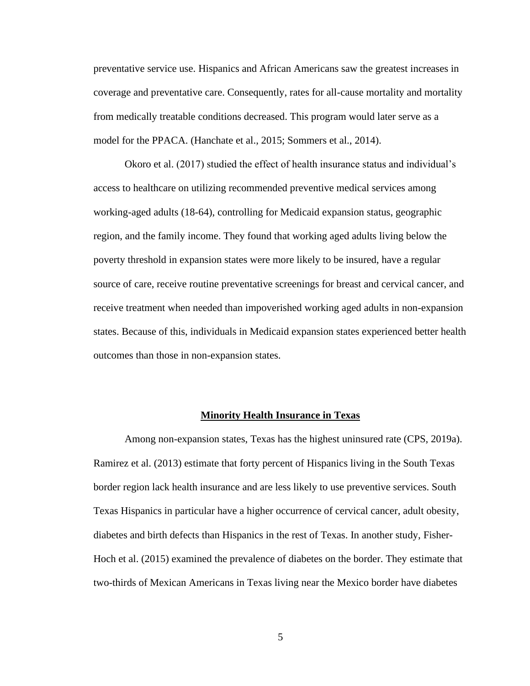preventative service use. Hispanics and African Americans saw the greatest increases in coverage and preventative care. Consequently, rates for all-cause mortality and mortality from medically treatable conditions decreased. This program would later serve as a model for the PPACA. (Hanchate et al., 2015; Sommers et al., 2014).

Okoro et al. (2017) studied the effect of health insurance status and individual's access to healthcare on utilizing recommended preventive medical services among working-aged adults (18-64), controlling for Medicaid expansion status, geographic region, and the family income. They found that working aged adults living below the poverty threshold in expansion states were more likely to be insured, have a regular source of care, receive routine preventative screenings for breast and cervical cancer, and receive treatment when needed than impoverished working aged adults in non-expansion states. Because of this, individuals in Medicaid expansion states experienced better health outcomes than those in non-expansion states.

#### **Minority Health Insurance in Texas**

Among non-expansion states, Texas has the highest uninsured rate (CPS, 2019a). Ramirez et al. (2013) estimate that forty percent of Hispanics living in the South Texas border region lack health insurance and are less likely to use preventive services. South Texas Hispanics in particular have a higher occurrence of cervical cancer, adult obesity, diabetes and birth defects than Hispanics in the rest of Texas. In another study, Fisher-Hoch et al. (2015) examined the prevalence of diabetes on the border. They estimate that two-thirds of Mexican Americans in Texas living near the Mexico border have diabetes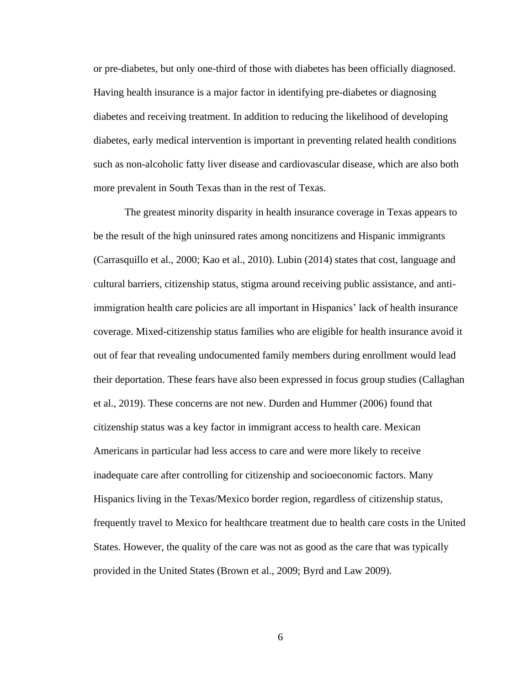or pre-diabetes, but only one-third of those with diabetes has been officially diagnosed. Having health insurance is a major factor in identifying pre-diabetes or diagnosing diabetes and receiving treatment. In addition to reducing the likelihood of developing diabetes, early medical intervention is important in preventing related health conditions such as non-alcoholic fatty liver disease and cardiovascular disease, which are also both more prevalent in South Texas than in the rest of Texas.

The greatest minority disparity in health insurance coverage in Texas appears to be the result of the high uninsured rates among noncitizens and Hispanic immigrants (Carrasquillo et al., 2000; Kao et al., 2010). Lubin (2014) states that cost, language and cultural barriers, citizenship status, stigma around receiving public assistance, and antiimmigration health care policies are all important in Hispanics' lack of health insurance coverage. Mixed-citizenship status families who are eligible for health insurance avoid it out of fear that revealing undocumented family members during enrollment would lead their deportation. These fears have also been expressed in focus group studies (Callaghan et al., 2019). These concerns are not new. Durden and Hummer (2006) found that citizenship status was a key factor in immigrant access to health care. Mexican Americans in particular had less access to care and were more likely to receive inadequate care after controlling for citizenship and socioeconomic factors. Many Hispanics living in the Texas/Mexico border region, regardless of citizenship status, frequently travel to Mexico for healthcare treatment due to health care costs in the United States. However, the quality of the care was not as good as the care that was typically provided in the United States (Brown et al., 2009; Byrd and Law 2009).

6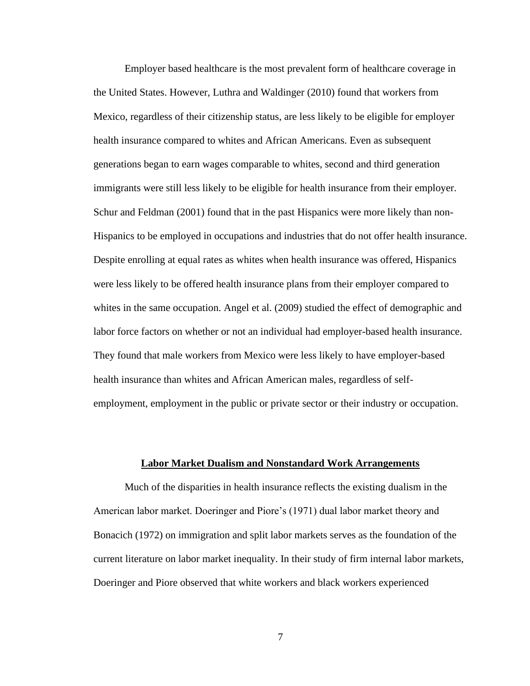Employer based healthcare is the most prevalent form of healthcare coverage in the United States. However, Luthra and Waldinger (2010) found that workers from Mexico, regardless of their citizenship status, are less likely to be eligible for employer health insurance compared to whites and African Americans. Even as subsequent generations began to earn wages comparable to whites, second and third generation immigrants were still less likely to be eligible for health insurance from their employer. Schur and Feldman (2001) found that in the past Hispanics were more likely than non-Hispanics to be employed in occupations and industries that do not offer health insurance. Despite enrolling at equal rates as whites when health insurance was offered, Hispanics were less likely to be offered health insurance plans from their employer compared to whites in the same occupation. Angel et al. (2009) studied the effect of demographic and labor force factors on whether or not an individual had employer-based health insurance. They found that male workers from Mexico were less likely to have employer-based health insurance than whites and African American males, regardless of selfemployment, employment in the public or private sector or their industry or occupation.

## **Labor Market Dualism and Nonstandard Work Arrangements**

Much of the disparities in health insurance reflects the existing dualism in the American labor market. Doeringer and Piore's (1971) dual labor market theory and Bonacich (1972) on immigration and split labor markets serves as the foundation of the current literature on labor market inequality. In their study of firm internal labor markets, Doeringer and Piore observed that white workers and black workers experienced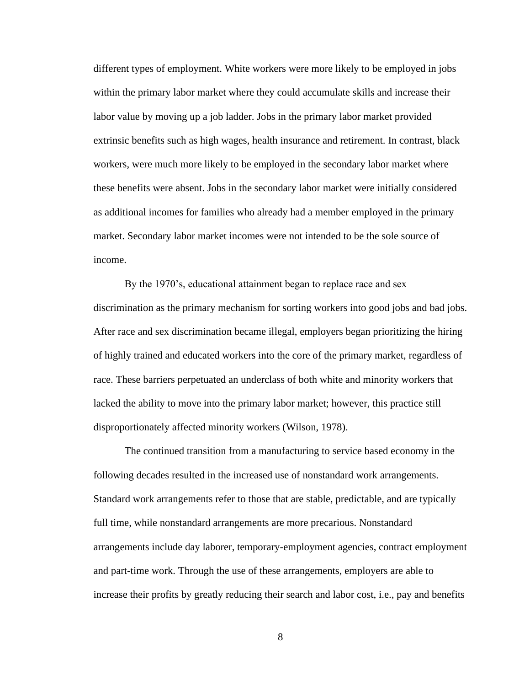different types of employment. White workers were more likely to be employed in jobs within the primary labor market where they could accumulate skills and increase their labor value by moving up a job ladder. Jobs in the primary labor market provided extrinsic benefits such as high wages, health insurance and retirement. In contrast, black workers, were much more likely to be employed in the secondary labor market where these benefits were absent. Jobs in the secondary labor market were initially considered as additional incomes for families who already had a member employed in the primary market. Secondary labor market incomes were not intended to be the sole source of income.

By the 1970's, educational attainment began to replace race and sex discrimination as the primary mechanism for sorting workers into good jobs and bad jobs. After race and sex discrimination became illegal, employers began prioritizing the hiring of highly trained and educated workers into the core of the primary market, regardless of race. These barriers perpetuated an underclass of both white and minority workers that lacked the ability to move into the primary labor market; however, this practice still disproportionately affected minority workers (Wilson, 1978).

The continued transition from a manufacturing to service based economy in the following decades resulted in the increased use of nonstandard work arrangements. Standard work arrangements refer to those that are stable, predictable, and are typically full time, while nonstandard arrangements are more precarious. Nonstandard arrangements include day laborer, temporary-employment agencies, contract employment and part-time work. Through the use of these arrangements, employers are able to increase their profits by greatly reducing their search and labor cost, i.e., pay and benefits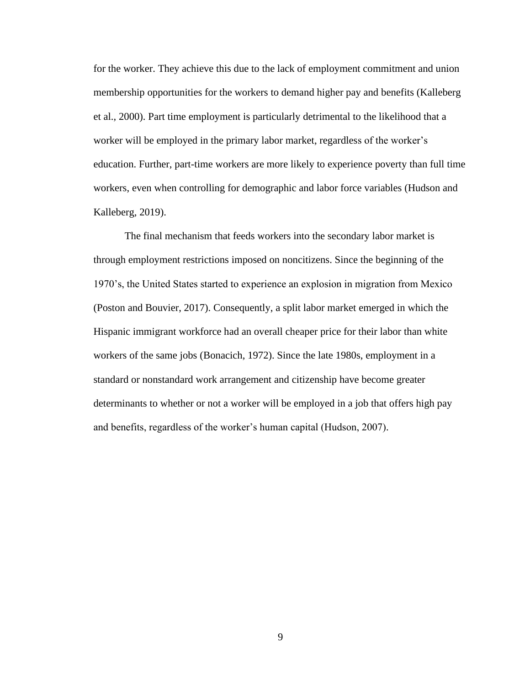for the worker. They achieve this due to the lack of employment commitment and union membership opportunities for the workers to demand higher pay and benefits (Kalleberg et al., 2000). Part time employment is particularly detrimental to the likelihood that a worker will be employed in the primary labor market, regardless of the worker's education. Further, part-time workers are more likely to experience poverty than full time workers, even when controlling for demographic and labor force variables (Hudson and Kalleberg, 2019).

The final mechanism that feeds workers into the secondary labor market is through employment restrictions imposed on noncitizens. Since the beginning of the 1970's, the United States started to experience an explosion in migration from Mexico (Poston and Bouvier, 2017). Consequently, a split labor market emerged in which the Hispanic immigrant workforce had an overall cheaper price for their labor than white workers of the same jobs (Bonacich, 1972). Since the late 1980s, employment in a standard or nonstandard work arrangement and citizenship have become greater determinants to whether or not a worker will be employed in a job that offers high pay and benefits, regardless of the worker's human capital (Hudson, 2007).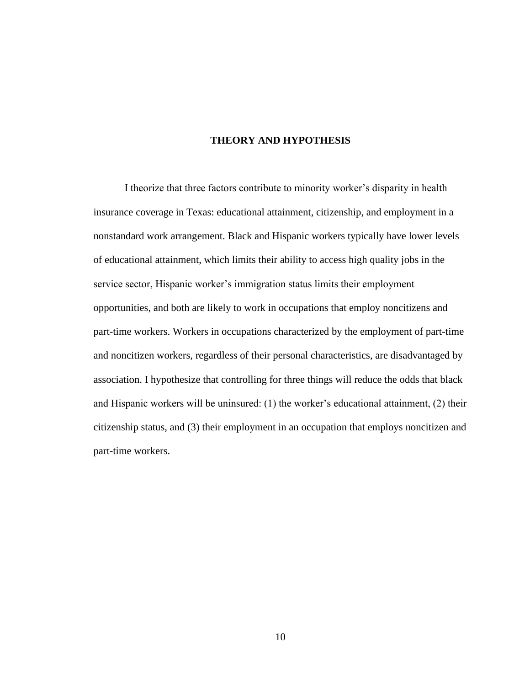## **THEORY AND HYPOTHESIS**

I theorize that three factors contribute to minority worker's disparity in health insurance coverage in Texas: educational attainment, citizenship, and employment in a nonstandard work arrangement. Black and Hispanic workers typically have lower levels of educational attainment, which limits their ability to access high quality jobs in the service sector, Hispanic worker's immigration status limits their employment opportunities, and both are likely to work in occupations that employ noncitizens and part-time workers. Workers in occupations characterized by the employment of part-time and noncitizen workers, regardless of their personal characteristics, are disadvantaged by association. I hypothesize that controlling for three things will reduce the odds that black and Hispanic workers will be uninsured: (1) the worker's educational attainment, (2) their citizenship status, and (3) their employment in an occupation that employs noncitizen and part-time workers.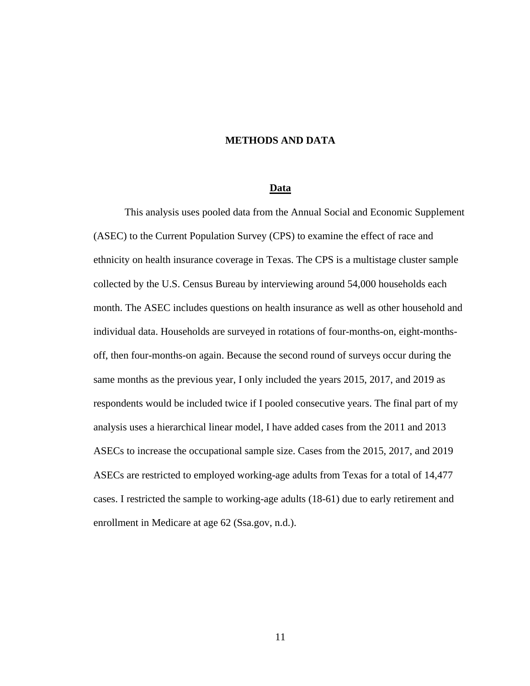## **METHODS AND DATA**

#### **Data**

This analysis uses pooled data from the Annual Social and Economic Supplement (ASEC) to the Current Population Survey (CPS) to examine the effect of race and ethnicity on health insurance coverage in Texas. The CPS is a multistage cluster sample collected by the U.S. Census Bureau by interviewing around 54,000 households each month. The ASEC includes questions on health insurance as well as other household and individual data. Households are surveyed in rotations of four-months-on, eight-monthsoff, then four-months-on again. Because the second round of surveys occur during the same months as the previous year, I only included the years 2015, 2017, and 2019 as respondents would be included twice if I pooled consecutive years. The final part of my analysis uses a hierarchical linear model, I have added cases from the 2011 and 2013 ASECs to increase the occupational sample size. Cases from the 2015, 2017, and 2019 ASECs are restricted to employed working-age adults from Texas for a total of 14,477 cases. I restricted the sample to working-age adults (18-61) due to early retirement and enrollment in Medicare at age 62 (Ssa.gov, n.d.).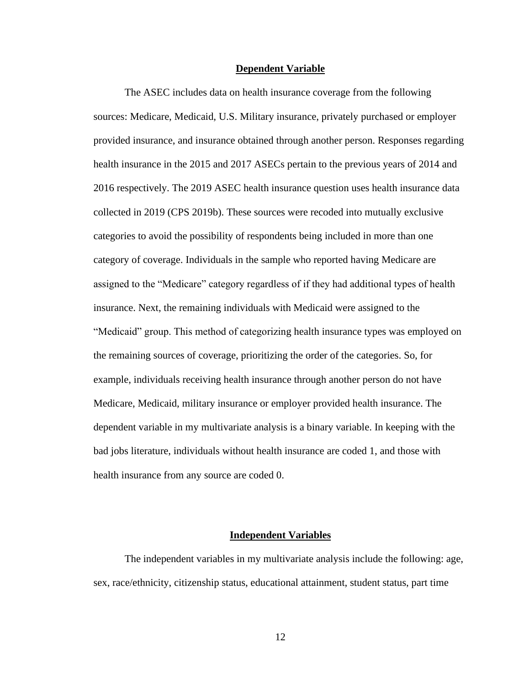#### **Dependent Variable**

The ASEC includes data on health insurance coverage from the following sources: Medicare, Medicaid, U.S. Military insurance, privately purchased or employer provided insurance, and insurance obtained through another person. Responses regarding health insurance in the 2015 and 2017 ASECs pertain to the previous years of 2014 and 2016 respectively. The 2019 ASEC health insurance question uses health insurance data collected in 2019 (CPS 2019b). These sources were recoded into mutually exclusive categories to avoid the possibility of respondents being included in more than one category of coverage. Individuals in the sample who reported having Medicare are assigned to the "Medicare" category regardless of if they had additional types of health insurance. Next, the remaining individuals with Medicaid were assigned to the "Medicaid" group. This method of categorizing health insurance types was employed on the remaining sources of coverage, prioritizing the order of the categories. So, for example, individuals receiving health insurance through another person do not have Medicare, Medicaid, military insurance or employer provided health insurance. The dependent variable in my multivariate analysis is a binary variable. In keeping with the bad jobs literature, individuals without health insurance are coded 1, and those with health insurance from any source are coded 0.

## **Independent Variables**

The independent variables in my multivariate analysis include the following: age, sex, race/ethnicity, citizenship status, educational attainment, student status, part time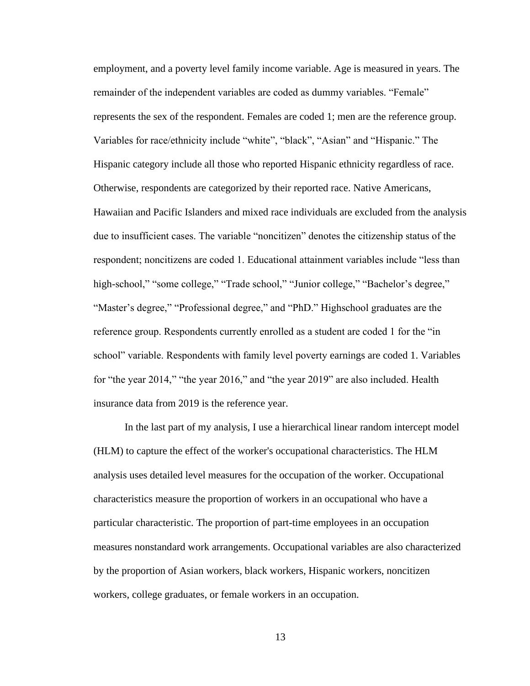employment, and a poverty level family income variable. Age is measured in years. The remainder of the independent variables are coded as dummy variables. "Female" represents the sex of the respondent. Females are coded 1; men are the reference group. Variables for race/ethnicity include "white", "black", "Asian" and "Hispanic." The Hispanic category include all those who reported Hispanic ethnicity regardless of race. Otherwise, respondents are categorized by their reported race. Native Americans, Hawaiian and Pacific Islanders and mixed race individuals are excluded from the analysis due to insufficient cases. The variable "noncitizen" denotes the citizenship status of the respondent; noncitizens are coded 1. Educational attainment variables include "less than high-school," "some college," "Trade school," "Junior college," "Bachelor's degree," "Master's degree," "Professional degree," and "PhD." Highschool graduates are the reference group. Respondents currently enrolled as a student are coded 1 for the "in school" variable. Respondents with family level poverty earnings are coded 1. Variables for "the year 2014," "the year 2016," and "the year 2019" are also included. Health insurance data from 2019 is the reference year.

In the last part of my analysis, I use a hierarchical linear random intercept model (HLM) to capture the effect of the worker's occupational characteristics. The HLM analysis uses detailed level measures for the occupation of the worker. Occupational characteristics measure the proportion of workers in an occupational who have a particular characteristic. The proportion of part-time employees in an occupation measures nonstandard work arrangements. Occupational variables are also characterized by the proportion of Asian workers, black workers, Hispanic workers, noncitizen workers, college graduates, or female workers in an occupation.

13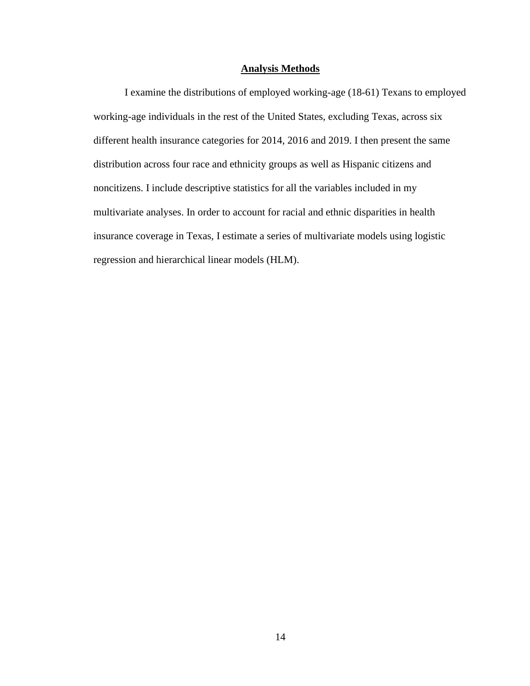### **Analysis Methods**

I examine the distributions of employed working-age (18-61) Texans to employed working-age individuals in the rest of the United States, excluding Texas, across six different health insurance categories for 2014, 2016 and 2019. I then present the same distribution across four race and ethnicity groups as well as Hispanic citizens and noncitizens. I include descriptive statistics for all the variables included in my multivariate analyses. In order to account for racial and ethnic disparities in health insurance coverage in Texas, I estimate a series of multivariate models using logistic regression and hierarchical linear models (HLM).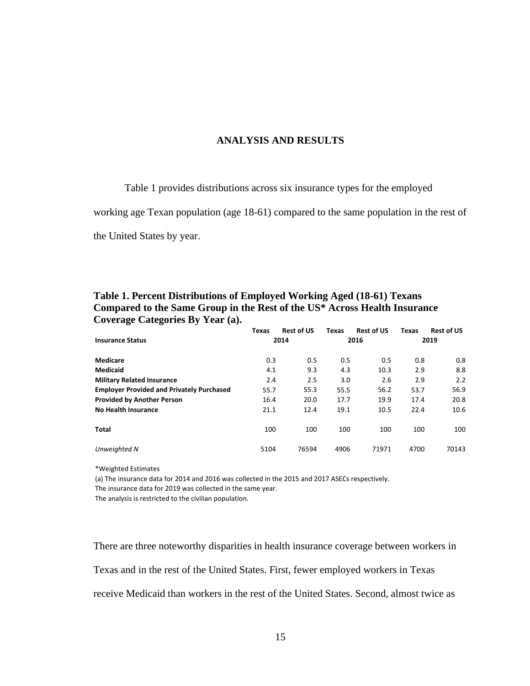## **ANALYSIS AND RESULTS**

Table 1 provides distributions across six insurance types for the employed

working age Texan population (age 18-61) compared to the same population in the rest of

the United States by year.

## **Table 1. Percent Distributions of Employed Working Aged (18-61) Texans Compared to the Same Group in the Rest of the US\* Across Health Insurance Coverage Categories By Year (a).**

|                                                  | <b>Texas</b> | <b>Rest of US</b> | <b>Texas</b> | <b>Rest of US</b> | <b>Texas</b> | <b>Rest of US</b> |
|--------------------------------------------------|--------------|-------------------|--------------|-------------------|--------------|-------------------|
| <b>Insurance Status</b>                          |              | 2014              |              | 2016              |              | 2019              |
| <b>Medicare</b>                                  | 0.3          | 0.5               | 0.5          | 0.5               | 0.8          | 0.8               |
| <b>Medicaid</b>                                  | 4.1          | 9.3               | 4.3          | 10.3              | 2.9          | 8.8               |
| <b>Military Related Insurance</b>                | 2.4          | 2.5               | 3.0          | 2.6               | 2.9          | 2.2               |
| <b>Employer Provided and Privately Purchased</b> | 55.7         | 55.3              | 55.5         | 56.2              | 53.7         | 56.9              |
| <b>Provided by Another Person</b>                | 16.4         | 20.0              | 17.7         | 19.9              | 17.4         | 20.8              |
| No Health Insurance                              | 21.1         | 12.4              | 19.1         | 10.5              | 22.4         | 10.6              |
| Total                                            | 100          | 100               | 100          | 100               | 100          | 100               |
| Unweighted N                                     | 5104         | 76594             | 4906         | 71971             | 4700         | 70143             |

\*Weighted Estimates

(a) The insurance data for 2014 and 2016 was collected in the 2015 and 2017 ASECs respectively.

The insurance data for 2019 was collected in the same year.

The analysis is restricted to the civilian population.

There are three noteworthy disparities in health insurance coverage between workers in Texas and in the rest of the United States. First, fewer employed workers in Texas receive Medicaid than workers in the rest of the United States. Second, almost twice as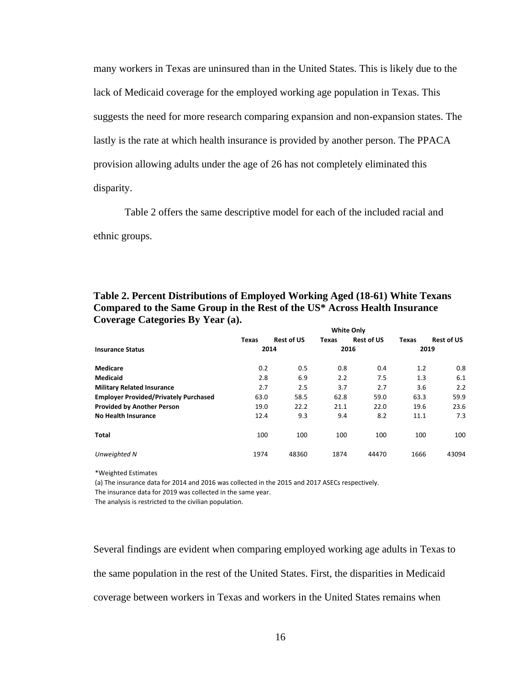many workers in Texas are uninsured than in the United States. This is likely due to the lack of Medicaid coverage for the employed working age population in Texas. This suggests the need for more research comparing expansion and non-expansion states. The lastly is the rate at which health insurance is provided by another person. The PPACA provision allowing adults under the age of 26 has not completely eliminated this disparity.

Table 2 offers the same descriptive model for each of the included racial and ethnic groups.

|                                              | <b>Texas</b> | <b>Rest of US</b> | <b>Texas</b> | <b>Rest of US</b> | <b>Texas</b> | <b>Rest of US</b> |  |
|----------------------------------------------|--------------|-------------------|--------------|-------------------|--------------|-------------------|--|
| <b>Insurance Status</b>                      | 2014         |                   |              | 2016              |              | 2019              |  |
| <b>Medicare</b>                              | 0.2          | 0.5               | 0.8          | 0.4               | 1.2          | 0.8               |  |
| <b>Medicaid</b>                              | 2.8          | 6.9               | 2.2          | 7.5               | 1.3          | 6.1               |  |
| <b>Military Related Insurance</b>            | 2.7          | 2.5               | 3.7          | 2.7               | 3.6          | 2.2               |  |
| <b>Employer Provided/Privately Purchased</b> | 63.0         | 58.5              | 62.8         | 59.0              | 63.3         | 59.9              |  |
| <b>Provided by Another Person</b>            | 19.0         | 22.2              | 21.1         | 22.0              | 19.6         | 23.6              |  |
| No Health Insurance                          | 12.4         | 9.3               | 9.4          | 8.2               | 11.1         | 7.3               |  |
| Total                                        | 100          | 100               | 100          | 100               | 100          | 100               |  |
| Unweighted N                                 | 1974         | 48360             | 1874         | 44470             | 1666         | 43094             |  |

**Table 2. Percent Distributions of Employed Working Aged (18-61) White Texans Compared to the Same Group in the Rest of the US\* Across Health Insurance Coverage Categories By Year (a).**

\*Weighted Estimates

(a) The insurance data for 2014 and 2016 was collected in the 2015 and 2017 ASECs respectively.

The insurance data for 2019 was collected in the same year.

The analysis is restricted to the civilian population.

Several findings are evident when comparing employed working age adults in Texas to the same population in the rest of the United States. First, the disparities in Medicaid coverage between workers in Texas and workers in the United States remains when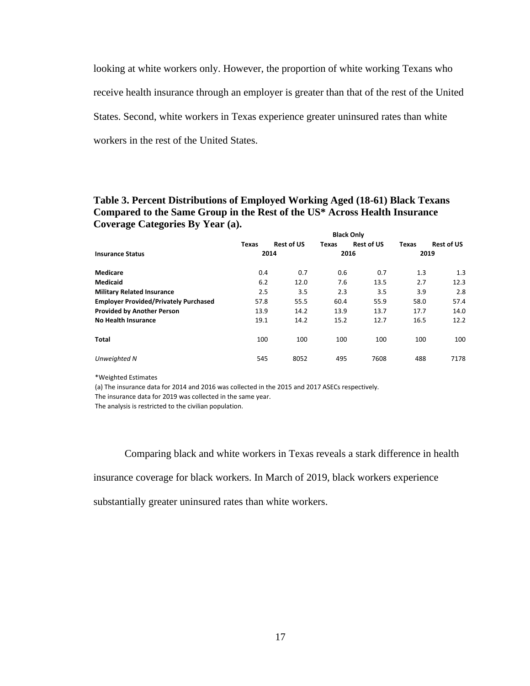looking at white workers only. However, the proportion of white working Texans who receive health insurance through an employer is greater than that of the rest of the United States. Second, white workers in Texas experience greater uninsured rates than white workers in the rest of the United States.

#### **Table 3. Percent Distributions of Employed Working Aged (18-61) Black Texans Compared to the Same Group in the Rest of the US\* Across Health Insurance Coverage Categories By Year (a). Black Only**

| Texas                           | <b>Rest of US</b> | Texas                                            | <b>Rest of US</b> | <b>Texas</b>                                                                         | <b>Rest of US</b> |
|---------------------------------|-------------------|--------------------------------------------------|-------------------|--------------------------------------------------------------------------------------|-------------------|
| 2014<br><b>Insurance Status</b> |                   |                                                  |                   |                                                                                      |                   |
|                                 | 0.7               |                                                  | 0.7               | 1.3                                                                                  | 1.3               |
| 6.2                             | 12.0              |                                                  | 13.5              | 2.7                                                                                  | 12.3              |
|                                 | 3.5               |                                                  | 3.5               | 3.9                                                                                  | 2.8               |
|                                 | 55.5              |                                                  | 55.9              | 58.0                                                                                 | 57.4              |
|                                 | 14.2              |                                                  | 13.7              | 17.7                                                                                 | 14.0              |
|                                 | 14.2              |                                                  | 12.7              | 16.5                                                                                 | 12.2              |
|                                 | 100               |                                                  | 100               | 100                                                                                  | 100               |
|                                 | 8052              |                                                  | 7608              | 488                                                                                  | 7178              |
|                                 |                   | 0.4<br>2.5<br>57.8<br>13.9<br>19.1<br>100<br>545 |                   | <b>BIACK UNIV</b><br>2016<br>0.6<br>7.6<br>2.3<br>60.4<br>13.9<br>15.2<br>100<br>495 | 2019              |

\*Weighted Estimates

(a) The insurance data for 2014 and 2016 was collected in the 2015 and 2017 ASECs respectively.

The insurance data for 2019 was collected in the same year.

The analysis is restricted to the civilian population.

Comparing black and white workers in Texas reveals a stark difference in health

insurance coverage for black workers. In March of 2019, black workers experience

substantially greater uninsured rates than white workers.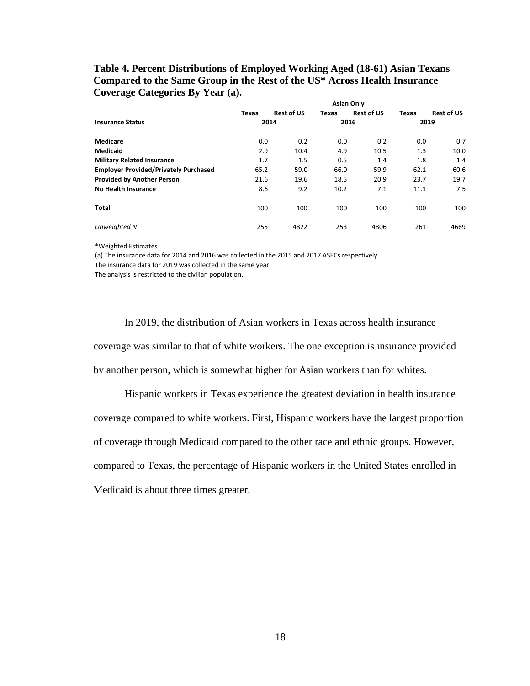#### **Table 4. Percent Distributions of Employed Working Aged (18-61) Asian Texans Compared to the Same Group in the Rest of the US\* Across Health Insurance Coverage Categories By Year (a). Asian Only**

|                                              | Texas | <b>Rest of US</b> | Texas | <b>Rest of US</b> | Texas | <b>Rest of US</b> |
|----------------------------------------------|-------|-------------------|-------|-------------------|-------|-------------------|
| <b>Insurance Status</b>                      | 2014  |                   | 2016  | 2019              |       |                   |
| Medicare                                     | 0.0   | 0.2               | 0.0   | 0.2               | 0.0   | 0.7               |
| <b>Medicaid</b>                              | 2.9   | 10.4              | 4.9   | 10.5              | 1.3   | 10.0              |
| <b>Military Related Insurance</b>            | 1.7   | 1.5               | 0.5   | 1.4               | 1.8   | 1.4               |
| <b>Employer Provided/Privately Purchased</b> | 65.2  | 59.0              | 66.0  | 59.9              | 62.1  | 60.6              |
| <b>Provided by Another Person</b>            | 21.6  | 19.6              | 18.5  | 20.9              | 23.7  | 19.7              |
| <b>No Health Insurance</b>                   | 8.6   | 9.2               | 10.2  | 7.1               | 11.1  | 7.5               |
| Total                                        | 100   | 100               | 100   | 100               | 100   | 100               |
| Unweighted N                                 | 255   | 4822              | 253   | 4806              | 261   | 4669              |

\*Weighted Estimates

(a) The insurance data for 2014 and 2016 was collected in the 2015 and 2017 ASECs respectively.

The insurance data for 2019 was collected in the same year.

The analysis is restricted to the civilian population.

In 2019, the distribution of Asian workers in Texas across health insurance coverage was similar to that of white workers. The one exception is insurance provided by another person, which is somewhat higher for Asian workers than for whites.

Hispanic workers in Texas experience the greatest deviation in health insurance coverage compared to white workers. First, Hispanic workers have the largest proportion of coverage through Medicaid compared to the other race and ethnic groups. However, compared to Texas, the percentage of Hispanic workers in the United States enrolled in Medicaid is about three times greater.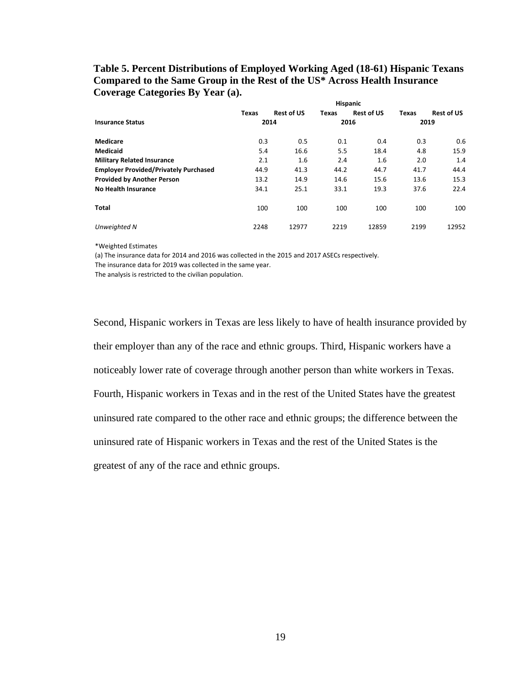#### **Table 5. Percent Distributions of Employed Working Aged (18-61) Hispanic Texans Compared to the Same Group in the Rest of the US\* Across Health Insurance Coverage Categories By Year (a). Hispanic**

|                                              | Texas | <b>Rest of US</b> | Texas | <b>Rest of US</b> | Texas | <b>Rest of US</b> |  |
|----------------------------------------------|-------|-------------------|-------|-------------------|-------|-------------------|--|
| <b>Insurance Status</b>                      |       | 2014              |       | 2016              |       | 2019              |  |
| Medicare                                     | 0.3   | 0.5               | 0.1   | 0.4               | 0.3   | 0.6               |  |
| <b>Medicaid</b>                              | 5.4   | 16.6              | 5.5   | 18.4              | 4.8   | 15.9              |  |
| <b>Military Related Insurance</b>            | 2.1   | 1.6               | 2.4   | 1.6               | 2.0   | 1.4               |  |
| <b>Employer Provided/Privately Purchased</b> | 44.9  | 41.3              | 44.2  | 44.7              | 41.7  | 44.4              |  |
| <b>Provided by Another Person</b>            | 13.2  | 14.9              | 14.6  | 15.6              | 13.6  | 15.3              |  |
| <b>No Health Insurance</b>                   | 34.1  | 25.1              | 33.1  | 19.3              | 37.6  | 22.4              |  |
| Total                                        | 100   | 100               | 100   | 100               | 100   | 100               |  |
| Unweighted N                                 | 2248  | 12977             | 2219  | 12859             | 2199  | 12952             |  |

\*Weighted Estimates

(a) The insurance data for 2014 and 2016 was collected in the 2015 and 2017 ASECs respectively.

The insurance data for 2019 was collected in the same year.

The analysis is restricted to the civilian population.

Second, Hispanic workers in Texas are less likely to have of health insurance provided by their employer than any of the race and ethnic groups. Third, Hispanic workers have a noticeably lower rate of coverage through another person than white workers in Texas. Fourth, Hispanic workers in Texas and in the rest of the United States have the greatest uninsured rate compared to the other race and ethnic groups; the difference between the uninsured rate of Hispanic workers in Texas and the rest of the United States is the greatest of any of the race and ethnic groups.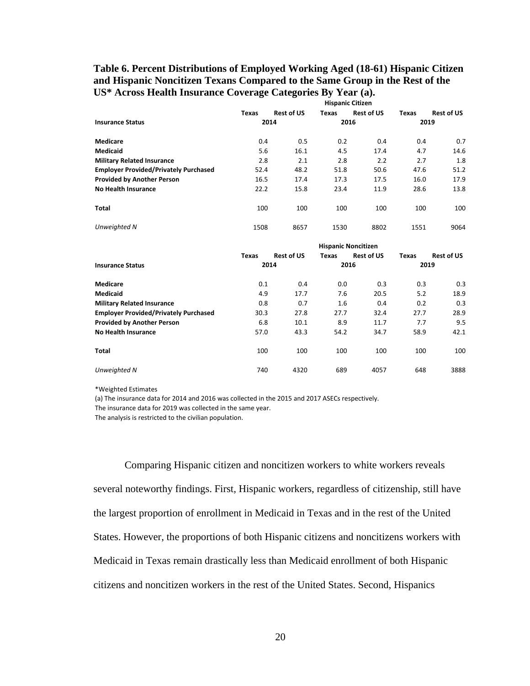## **Table 6. Percent Distributions of Employed Working Aged (18-61) Hispanic Citizen and Hispanic Noncitizen Texans Compared to the Same Group in the Rest of the US\* Across Health Insurance Coverage Categories By Year (a).**

|                                              | <b>Hispanic Citizen</b> |                   |                            |                   |               |                   |  |
|----------------------------------------------|-------------------------|-------------------|----------------------------|-------------------|---------------|-------------------|--|
|                                              | Texas                   | <b>Rest of US</b> | Texas                      | <b>Rest of US</b> | Texas         | <b>Rest of US</b> |  |
| <b>Insurance Status</b>                      | 2014                    |                   | 2016                       |                   | 2019          |                   |  |
| <b>Medicare</b>                              | 0.4                     | 0.5               | 0.2                        | 0.4               | 0.4           | 0.7               |  |
| <b>Medicaid</b>                              | 5.6                     | 16.1              | 4.5                        | 17.4              | 4.7           | 14.6              |  |
| <b>Military Related Insurance</b>            | 2.8                     | 2.1               | 2.8                        | 2.2               | 2.7           | 1.8               |  |
| <b>Employer Provided/Privately Purchased</b> | 52.4                    | 48.2              | 51.8                       | 50.6              | 47.6          | 51.2              |  |
| <b>Provided by Another Person</b>            | 16.5                    | 17.4              | 17.3                       | 17.5              | 16.0          | 17.9              |  |
| <b>No Health Insurance</b>                   | 22.2                    | 15.8              | 23.4                       | 11.9              | 28.6          | 13.8              |  |
| <b>Total</b>                                 | 100                     | 100               | 100                        | 100               | 100           | 100               |  |
| Unweighted N                                 | 1508                    | 8657              | 1530                       | 8802              | 1551          | 9064              |  |
|                                              |                         |                   | <b>Hispanic Noncitizen</b> |                   |               |                   |  |
| <b>Insurance Status</b>                      | Texas<br>2014           | <b>Rest of US</b> | Texas<br>2016              | <b>Rest of US</b> | Texas<br>2019 | <b>Rest of US</b> |  |

| Medicare                                     | 0.1  | 0.4  | 0.0  | 0.3  | 0.3  | 0.3  |
|----------------------------------------------|------|------|------|------|------|------|
| <b>Medicaid</b>                              | 4.9  | 17.7 | 7.6  | 20.5 | 5.2  | 18.9 |
| <b>Military Related Insurance</b>            | 0.8  | 0.7  | 1.6  | 0.4  | 0.2  | 0.3  |
| <b>Employer Provided/Privately Purchased</b> | 30.3 | 27.8 | 27.7 | 32.4 | 27.7 | 28.9 |
| <b>Provided by Another Person</b>            | 6.8  | 10.1 | 8.9  | 11.7 | 7.7  | 9.5  |
| No Health Insurance                          | 57.0 | 43.3 | 54.2 | 34.7 | 58.9 | 42.1 |
| Total                                        | 100  | 100  | 100  | 100  | 100  | 100  |
| Unweighted N                                 | 740  | 4320 | 689  | 4057 | 648  | 3888 |

\*Weighted Estimates

(a) The insurance data for 2014 and 2016 was collected in the 2015 and 2017 ASECs respectively.

The insurance data for 2019 was collected in the same year.

The analysis is restricted to the civilian population.

Comparing Hispanic citizen and noncitizen workers to white workers reveals several noteworthy findings. First, Hispanic workers, regardless of citizenship, still have the largest proportion of enrollment in Medicaid in Texas and in the rest of the United States. However, the proportions of both Hispanic citizens and noncitizens workers with Medicaid in Texas remain drastically less than Medicaid enrollment of both Hispanic citizens and noncitizen workers in the rest of the United States. Second, Hispanics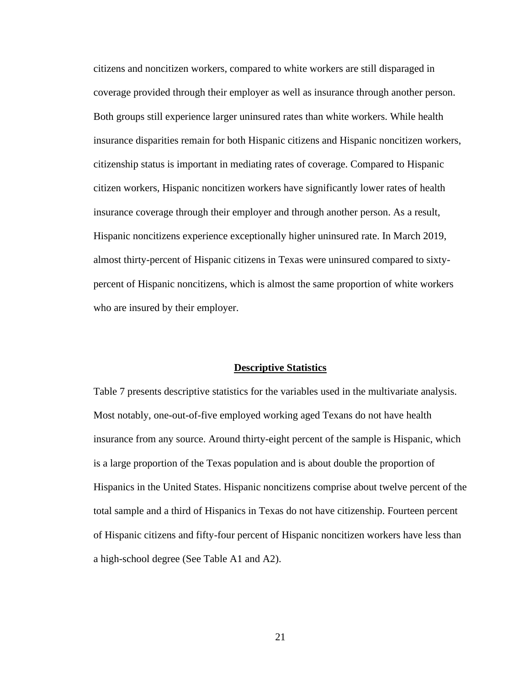citizens and noncitizen workers, compared to white workers are still disparaged in coverage provided through their employer as well as insurance through another person. Both groups still experience larger uninsured rates than white workers. While health insurance disparities remain for both Hispanic citizens and Hispanic noncitizen workers, citizenship status is important in mediating rates of coverage. Compared to Hispanic citizen workers, Hispanic noncitizen workers have significantly lower rates of health insurance coverage through their employer and through another person. As a result, Hispanic noncitizens experience exceptionally higher uninsured rate. In March 2019, almost thirty-percent of Hispanic citizens in Texas were uninsured compared to sixtypercent of Hispanic noncitizens, which is almost the same proportion of white workers who are insured by their employer.

#### **Descriptive Statistics**

Table 7 presents descriptive statistics for the variables used in the multivariate analysis. Most notably, one-out-of-five employed working aged Texans do not have health insurance from any source. Around thirty-eight percent of the sample is Hispanic, which is a large proportion of the Texas population and is about double the proportion of Hispanics in the United States. Hispanic noncitizens comprise about twelve percent of the total sample and a third of Hispanics in Texas do not have citizenship. Fourteen percent of Hispanic citizens and fifty-four percent of Hispanic noncitizen workers have less than a high-school degree (See Table A1 and A2).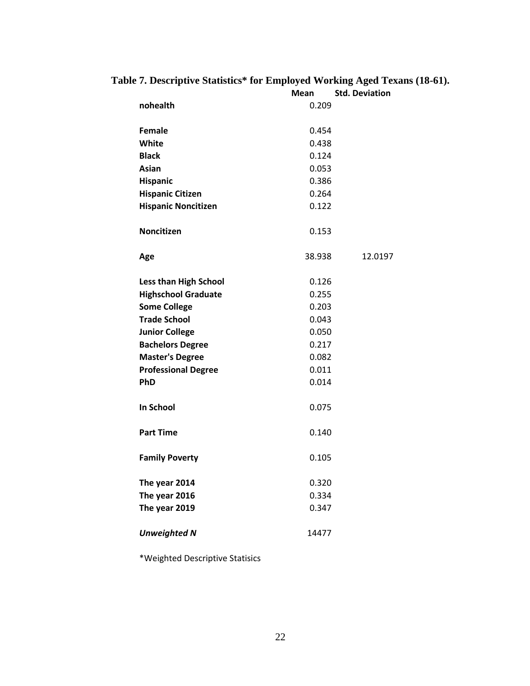# **Table 7. Descriptive Statistics\* for Employed Working Aged Texans (18-61).**

|                              | Mean   | <b>Std. Deviation</b> |
|------------------------------|--------|-----------------------|
| nohealth                     | 0.209  |                       |
|                              |        |                       |
| Female                       | 0.454  |                       |
| White                        | 0.438  |                       |
| <b>Black</b>                 | 0.124  |                       |
| Asian                        | 0.053  |                       |
| Hispanic                     | 0.386  |                       |
| <b>Hispanic Citizen</b>      | 0.264  |                       |
| <b>Hispanic Noncitizen</b>   | 0.122  |                       |
| Noncitizen                   | 0.153  |                       |
| Age                          | 38.938 | 12.0197               |
| <b>Less than High School</b> | 0.126  |                       |
| <b>Highschool Graduate</b>   | 0.255  |                       |
| <b>Some College</b>          | 0.203  |                       |
| <b>Trade School</b>          | 0.043  |                       |
| <b>Junior College</b>        | 0.050  |                       |
| <b>Bachelors Degree</b>      | 0.217  |                       |
| <b>Master's Degree</b>       | 0.082  |                       |
| <b>Professional Degree</b>   | 0.011  |                       |
| <b>PhD</b>                   | 0.014  |                       |
| In School                    | 0.075  |                       |
| <b>Part Time</b>             | 0.140  |                       |
| <b>Family Poverty</b>        | 0.105  |                       |
| The year 2014                | 0.320  |                       |
| The year 2016                | 0.334  |                       |
| The year 2019                | 0.347  |                       |
| <b>Unweighted N</b>          | 14477  |                       |

\*Weighted Descriptive Statisics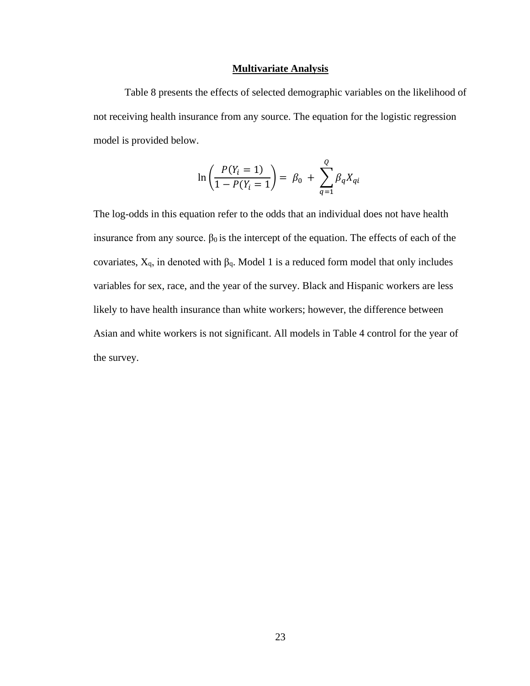#### **Multivariate Analysis**

Table 8 presents the effects of selected demographic variables on the likelihood of not receiving health insurance from any source. The equation for the logistic regression model is provided below.

$$
\ln\left(\frac{P(Y_i = 1)}{1 - P(Y_i = 1)}\right) = \beta_0 + \sum_{q=1}^{Q} \beta_q X_{qi}
$$

The log-odds in this equation refer to the odds that an individual does not have health insurance from any source.  $β_0$  is the intercept of the equation. The effects of each of the covariates,  $X_q$ , in denoted with  $\beta_q$ . Model 1 is a reduced form model that only includes variables for sex, race, and the year of the survey. Black and Hispanic workers are less likely to have health insurance than white workers; however, the difference between Asian and white workers is not significant. All models in Table 4 control for the year of the survey.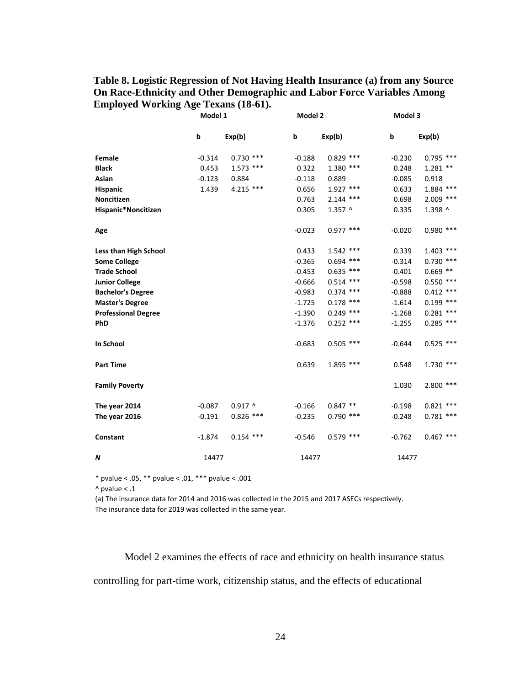## **Table 8. Logistic Regression of Not Having Health Insurance (a) from any Source On Race-Ethnicity and Other Demographic and Labor Force Variables Among Employed Working Age Texans (18-61).**

|                            | Model 1  |             |          | Model 2     |          | Model 3        |  |
|----------------------------|----------|-------------|----------|-------------|----------|----------------|--|
|                            | b        | Exp(b)      | þ        | Exp(b)      | b        | Exp(b)         |  |
| Female                     | $-0.314$ | $0.730$ *** | $-0.188$ | $0.829$ *** | $-0.230$ | $0.795$ ***    |  |
| <b>Black</b>               | 0.453    | $1.573$ *** | 0.322    | $1.380$ *** | 0.248    | $1.281**$      |  |
| Asian                      | $-0.123$ | 0.884       | $-0.118$ | 0.889       | $-0.085$ | 0.918          |  |
| Hispanic                   | 1.439    | 4.215 ***   | 0.656    | $1.927$ *** | 0.633    | $1.884$ ***    |  |
| Noncitizen                 |          |             | 0.763    | $2.144$ *** | 0.698    | $2.009$ ***    |  |
| Hispanic*Noncitizen        |          |             | 0.305    | $1.357$ ^   | 0.335    | 1.398 ^        |  |
| Age                        |          |             | $-0.023$ | $0.977$ *** | $-0.020$ | $0.980$ ***    |  |
| Less than High School      |          |             | 0.433    | $1.542$ *** | 0.339    | $1.403$ ***    |  |
| <b>Some College</b>        |          |             | $-0.365$ | $0.694$ *** | $-0.314$ | $0.730$ ***    |  |
| <b>Trade School</b>        |          |             | $-0.453$ | $0.635$ *** | $-0.401$ | $0.669$ **     |  |
| <b>Junior College</b>      |          |             | $-0.666$ | $0.514$ *** | $-0.598$ | $0.550$ ***    |  |
| <b>Bachelor's Degree</b>   |          |             | $-0.983$ | $0.374$ *** | $-0.888$ | $***$<br>0.412 |  |
| <b>Master's Degree</b>     |          |             | $-1.725$ | $0.178$ *** | $-1.614$ | 0.199<br>$***$ |  |
| <b>Professional Degree</b> |          |             | $-1.390$ | $0.249$ *** | $-1.268$ | ***<br>0.281   |  |
| PhD                        |          |             | $-1.376$ | $0.252$ *** | $-1.255$ | $0.285$ ***    |  |
| In School                  |          |             | $-0.683$ | $0.505$ *** | $-0.644$ | $0.525$ ***    |  |
| <b>Part Time</b>           |          |             | 0.639    | 1.895 ***   | 0.548    | $1.730$ ***    |  |
| <b>Family Poverty</b>      |          |             |          |             | 1.030    | $2.800$ ***    |  |
| The year 2014              | $-0.087$ | $0.917$ ^   | $-0.166$ | $0.847**$   | $-0.198$ | 0.821<br>***   |  |
| The year 2016              | $-0.191$ | $0.826$ *** | $-0.235$ | $0.790$ *** | $-0.248$ | $0.781$ ***    |  |
| Constant                   | $-1.874$ | $0.154$ *** | $-0.546$ | $0.579$ *** | $-0.762$ | $0.467$ ***    |  |
| N                          | 14477    |             | 14477    |             | 14477    |                |  |

\* pvalue < .05, \*\* pvalue < .01, \*\*\* pvalue < .001

 $^{\wedge}$  pvalue < .1

(a) The insurance data for 2014 and 2016 was collected in the 2015 and 2017 ASECs respectively. The insurance data for 2019 was collected in the same year.

Model 2 examines the effects of race and ethnicity on health insurance status controlling for part-time work, citizenship status, and the effects of educational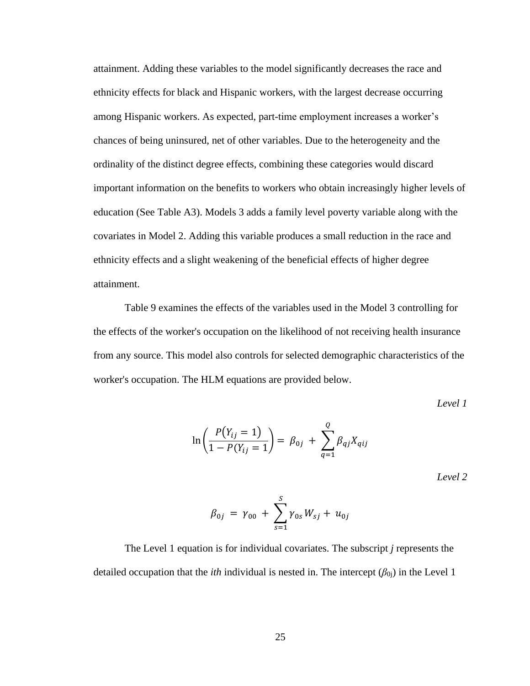attainment. Adding these variables to the model significantly decreases the race and ethnicity effects for black and Hispanic workers, with the largest decrease occurring among Hispanic workers. As expected, part-time employment increases a worker's chances of being uninsured, net of other variables. Due to the heterogeneity and the ordinality of the distinct degree effects, combining these categories would discard important information on the benefits to workers who obtain increasingly higher levels of education (See Table A3). Models 3 adds a family level poverty variable along with the covariates in Model 2. Adding this variable produces a small reduction in the race and ethnicity effects and a slight weakening of the beneficial effects of higher degree attainment.

Table 9 examines the effects of the variables used in the Model 3 controlling for the effects of the worker's occupation on the likelihood of not receiving health insurance from any source. This model also controls for selected demographic characteristics of the worker's occupation. The HLM equations are provided below.

*Level 1*

$$
\ln\left(\frac{P(Y_{ij} = 1)}{1 - P(Y_{ij} = 1)}\right) = \beta_{0j} + \sum_{q=1}^{Q} \beta_{qj} X_{qij}
$$

*Level 2*

$$
\beta_{0j} = \gamma_{00} + \sum_{s=1}^{S} \gamma_{0s} W_{sj} + u_{0j}
$$

The Level 1 equation is for individual covariates. The subscript *j* represents the detailed occupation that the *ith* individual is nested in. The intercept  $(\beta_{0i})$  in the Level 1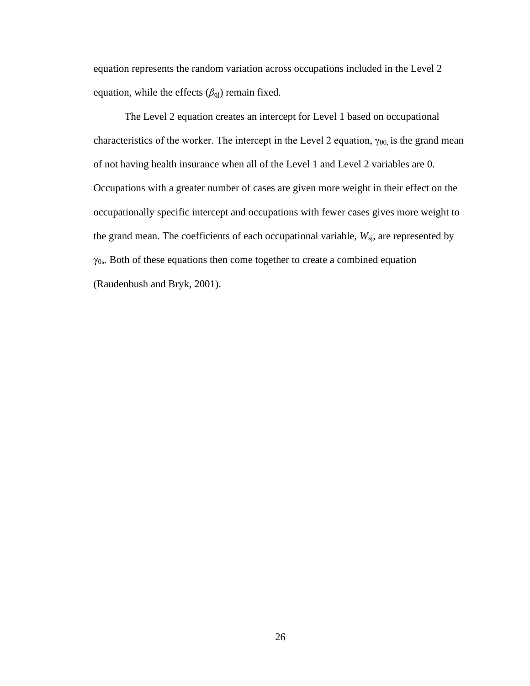equation represents the random variation across occupations included in the Level 2 equation, while the effects (*β*qj) remain fixed.

The Level 2 equation creates an intercept for Level 1 based on occupational characteristics of the worker. The intercept in the Level 2 equation,  $\gamma_{00}$  is the grand mean of not having health insurance when all of the Level 1 and Level 2 variables are 0. Occupations with a greater number of cases are given more weight in their effect on the occupationally specific intercept and occupations with fewer cases gives more weight to the grand mean. The coefficients of each occupational variable,  $W_{sj}$ , are represented by  $\gamma$ <sub>0s</sub>. Both of these equations then come together to create a combined equation (Raudenbush and Bryk, 2001).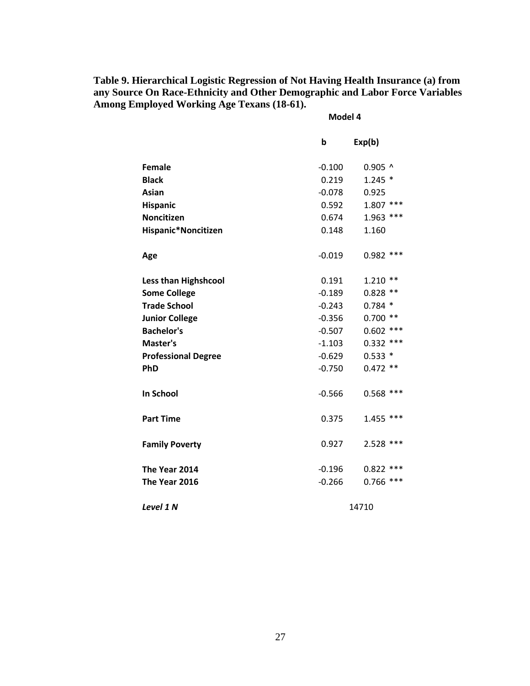**Table 9. Hierarchical Logistic Regression of Not Having Health Insurance (a) from any Source On Race-Ethnicity and Other Demographic and Labor Force Variables Among Employed Working Age Texans (18-61).**

**Model 4**

|                             | b        | Exp(b)      |
|-----------------------------|----------|-------------|
| <b>Female</b>               | $-0.100$ | $0.905$ ^   |
| <b>Black</b>                | 0.219    | $1.245*$    |
| Asian                       | $-0.078$ | 0.925       |
| <b>Hispanic</b>             | 0.592    | $1.807$ *** |
| <b>Noncitizen</b>           | 0.674    | $1.963$ *** |
| Hispanic*Noncitizen         | 0.148    | 1.160       |
| Age                         | $-0.019$ | $0.982$ *** |
| <b>Less than Highshcool</b> | 0.191    | $1.210**$   |
| <b>Some College</b>         | $-0.189$ | $0.828$ **  |
| <b>Trade School</b>         | $-0.243$ | $0.784*$    |
| <b>Junior College</b>       | $-0.356$ | $0.700$ **  |
| <b>Bachelor's</b>           | $-0.507$ | $0.602$ *** |
| Master's                    | $-1.103$ | $0.332$ *** |
| <b>Professional Degree</b>  | $-0.629$ | $0.533*$    |
| PhD                         | $-0.750$ | $0.472$ **  |
| <b>In School</b>            | $-0.566$ | $0.568$ *** |
| <b>Part Time</b>            | 0.375    | $1.455$ *** |
| <b>Family Poverty</b>       | 0.927    | $2.528$ *** |
| The Year 2014               | $-0.196$ | $0.822$ *** |
| The Year 2016               | $-0.266$ | $0.766$ *** |
| Level 1 N                   |          | 14710       |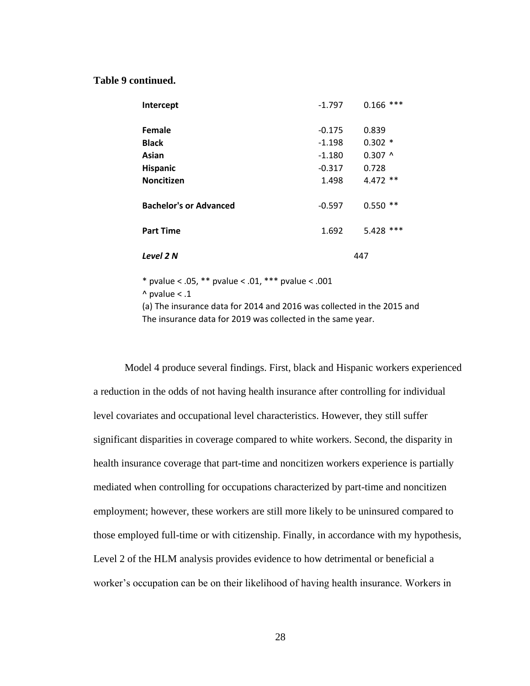#### **Table 9 continued.**

| Intercept                     | $-1.797$ | ***<br>0.166   |
|-------------------------------|----------|----------------|
| Female                        | $-0.175$ | 0.839          |
| <b>Black</b>                  | $-1.198$ | $0.302*$       |
| Asian                         | $-1.180$ | $0.307$ ^      |
| <b>Hispanic</b>               | $-0.317$ | 0.728          |
| <b>Noncitizen</b>             | 1.498    | $4.472**$      |
| <b>Bachelor's or Advanced</b> | $-0.597$ | $***$<br>0.550 |
| <b>Part Time</b>              | 1.692    | ***<br>5.428   |
| Level 2 N                     |          | 447            |

\* pvalue < .05, \*\* pvalue < .01, \*\*\* pvalue < .001

 $^{\wedge}$  pvalue < .1

(a) The insurance data for 2014 and 2016 was collected in the 2015 and The insurance data for 2019 was collected in the same year.

Model 4 produce several findings. First, black and Hispanic workers experienced a reduction in the odds of not having health insurance after controlling for individual level covariates and occupational level characteristics. However, they still suffer significant disparities in coverage compared to white workers. Second, the disparity in health insurance coverage that part-time and noncitizen workers experience is partially mediated when controlling for occupations characterized by part-time and noncitizen employment; however, these workers are still more likely to be uninsured compared to those employed full-time or with citizenship. Finally, in accordance with my hypothesis, Level 2 of the HLM analysis provides evidence to how detrimental or beneficial a worker's occupation can be on their likelihood of having health insurance. Workers in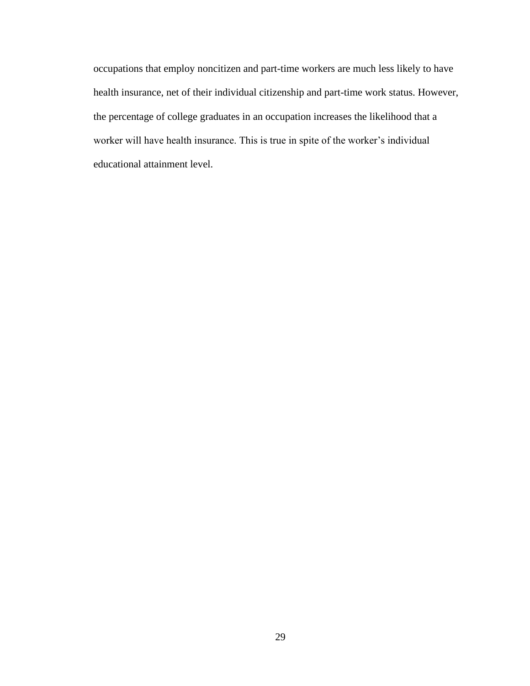occupations that employ noncitizen and part-time workers are much less likely to have health insurance, net of their individual citizenship and part-time work status. However, the percentage of college graduates in an occupation increases the likelihood that a worker will have health insurance. This is true in spite of the worker's individual educational attainment level.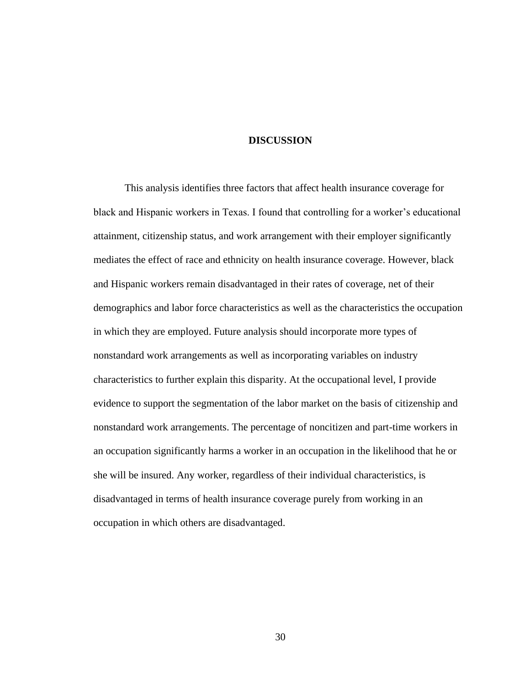## **DISCUSSION**

This analysis identifies three factors that affect health insurance coverage for black and Hispanic workers in Texas. I found that controlling for a worker's educational attainment, citizenship status, and work arrangement with their employer significantly mediates the effect of race and ethnicity on health insurance coverage. However, black and Hispanic workers remain disadvantaged in their rates of coverage, net of their demographics and labor force characteristics as well as the characteristics the occupation in which they are employed. Future analysis should incorporate more types of nonstandard work arrangements as well as incorporating variables on industry characteristics to further explain this disparity. At the occupational level, I provide evidence to support the segmentation of the labor market on the basis of citizenship and nonstandard work arrangements. The percentage of noncitizen and part-time workers in an occupation significantly harms a worker in an occupation in the likelihood that he or she will be insured. Any worker, regardless of their individual characteristics, is disadvantaged in terms of health insurance coverage purely from working in an occupation in which others are disadvantaged.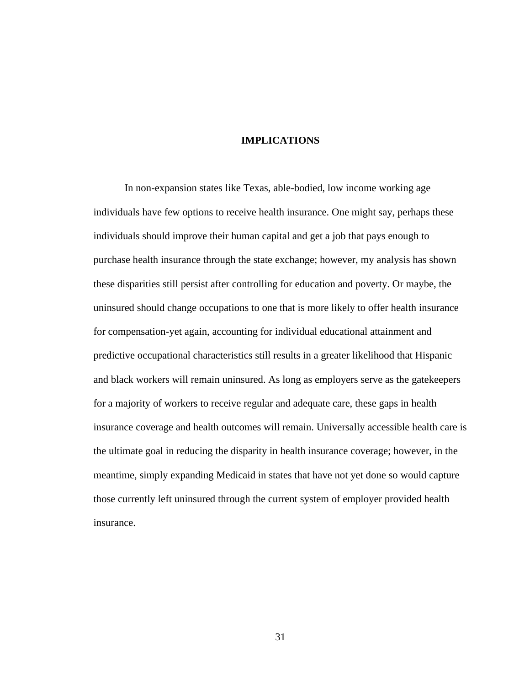## **IMPLICATIONS**

In non-expansion states like Texas, able-bodied, low income working age individuals have few options to receive health insurance. One might say, perhaps these individuals should improve their human capital and get a job that pays enough to purchase health insurance through the state exchange; however, my analysis has shown these disparities still persist after controlling for education and poverty. Or maybe, the uninsured should change occupations to one that is more likely to offer health insurance for compensation-yet again, accounting for individual educational attainment and predictive occupational characteristics still results in a greater likelihood that Hispanic and black workers will remain uninsured. As long as employers serve as the gatekeepers for a majority of workers to receive regular and adequate care, these gaps in health insurance coverage and health outcomes will remain. Universally accessible health care is the ultimate goal in reducing the disparity in health insurance coverage; however, in the meantime, simply expanding Medicaid in states that have not yet done so would capture those currently left uninsured through the current system of employer provided health insurance.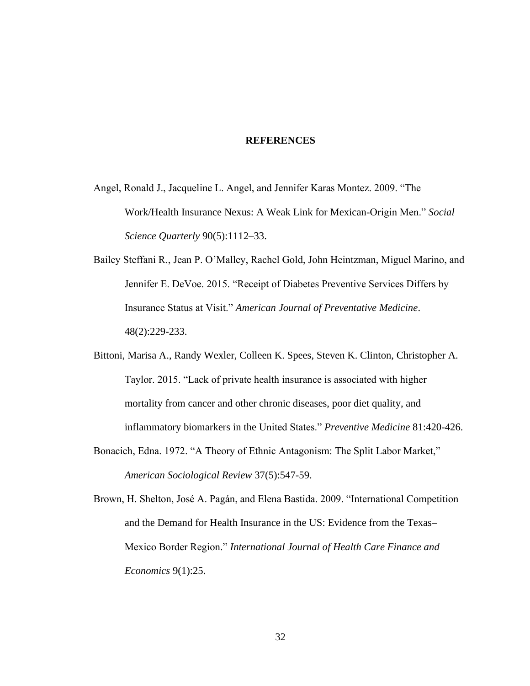## **REFERENCES**

- Angel, Ronald J., Jacqueline L. Angel, and Jennifer Karas Montez. 2009. "The Work/Health Insurance Nexus: A Weak Link for Mexican-Origin Men." *Social Science Quarterly* 90(5):1112–33.
- Bailey Steffani R., Jean P. O'Malley, Rachel Gold, John Heintzman, Miguel Marino, and Jennifer E. DeVoe. 2015. "Receipt of Diabetes Preventive Services Differs by Insurance Status at Visit." *American Journal of Preventative Medicine*. 48(2):229-233.
- Bittoni, Marisa A., Randy Wexler, Colleen K. Spees, Steven K. Clinton, Christopher A. Taylor. 2015. "Lack of private health insurance is associated with higher mortality from cancer and other chronic diseases, poor diet quality, and inflammatory biomarkers in the United States." *Preventive Medicine* 81:420-426.
- Bonacich, Edna. 1972. "A Theory of Ethnic Antagonism: The Split Labor Market," *American Sociological Review* 37(5):547-59.
- Brown, H. Shelton, José A. Pagán, and Elena Bastida. 2009. "International Competition and the Demand for Health Insurance in the US: Evidence from the Texas– Mexico Border Region." *International Journal of Health Care Finance and Economics* 9(1):25.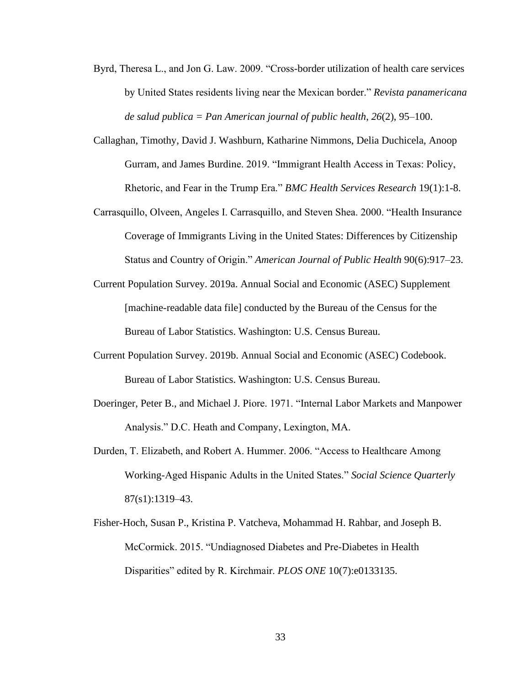- Byrd, Theresa L., and Jon G. Law. 2009. "Cross-border utilization of health care services by United States residents living near the Mexican border." *Revista panamericana de salud publica = Pan American journal of public health*, *26*(2), 95–100.
- Callaghan, Timothy, David J. Washburn, Katharine Nimmons, Delia Duchicela, Anoop Gurram, and James Burdine. 2019. "Immigrant Health Access in Texas: Policy, Rhetoric, and Fear in the Trump Era." *BMC Health Services Research* 19(1):1-8.
- Carrasquillo, Olveen, Angeles I. Carrasquillo, and Steven Shea. 2000. "Health Insurance Coverage of Immigrants Living in the United States: Differences by Citizenship Status and Country of Origin." *American Journal of Public Health* 90(6):917–23.
- Current Population Survey. 2019a. Annual Social and Economic (ASEC) Supplement [machine-readable data file] conducted by the Bureau of the Census for the Bureau of Labor Statistics. Washington: U.S. Census Bureau.
- Current Population Survey. 2019b. Annual Social and Economic (ASEC) Codebook. Bureau of Labor Statistics. Washington: U.S. Census Bureau.
- Doeringer, Peter B., and Michael J. Piore. 1971. "Internal Labor Markets and Manpower Analysis." D.C. Heath and Company, Lexington, MA.
- Durden, T. Elizabeth, and Robert A. Hummer. 2006. "Access to Healthcare Among Working-Aged Hispanic Adults in the United States." *Social Science Quarterly* 87(s1):1319–43.
- Fisher-Hoch, Susan P., Kristina P. Vatcheva, Mohammad H. Rahbar, and Joseph B. McCormick. 2015. "Undiagnosed Diabetes and Pre-Diabetes in Health Disparities" edited by R. Kirchmair. *PLOS ONE* 10(7):e0133135.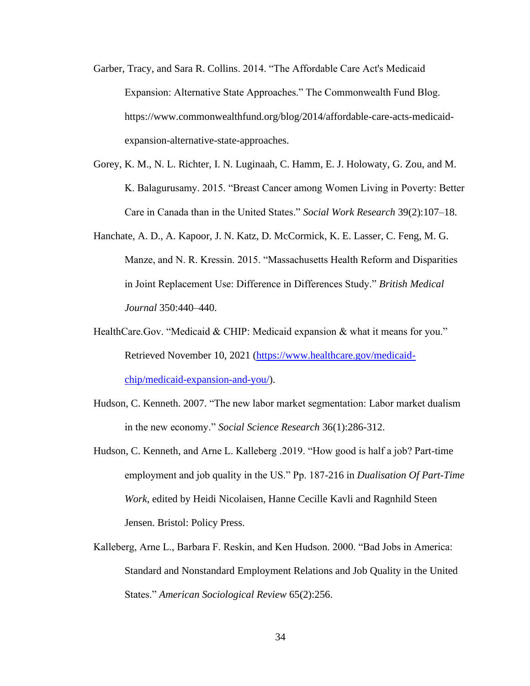- Garber, Tracy, and Sara R. Collins. 2014. "The Affordable Care Act's Medicaid Expansion: Alternative State Approaches." The Commonwealth Fund Blog. https://www.commonwealthfund.org/blog/2014/affordable-care-acts-medicaidexpansion-alternative-state-approaches.
- Gorey, K. M., N. L. Richter, I. N. Luginaah, C. Hamm, E. J. Holowaty, G. Zou, and M. K. Balagurusamy. 2015. "Breast Cancer among Women Living in Poverty: Better Care in Canada than in the United States." *Social Work Research* 39(2):107–18.
- Hanchate, A. D., A. Kapoor, J. N. Katz, D. McCormick, K. E. Lasser, C. Feng, M. G. Manze, and N. R. Kressin. 2015. "Massachusetts Health Reform and Disparities in Joint Replacement Use: Difference in Differences Study." *British Medical Journal* 350:440–440.
- HealthCare.Gov. "Medicaid & CHIP: Medicaid expansion & what it means for you." Retrieved November 10, 2021 [\(https://www.healthcare.gov/medicaid](https://www.healthcare.gov/medicaid-chip/medicaid-expansion-and-you/)[chip/medicaid-expansion-and-you/\)](https://www.healthcare.gov/medicaid-chip/medicaid-expansion-and-you/).
- Hudson, C. Kenneth. 2007. "The new labor market segmentation: Labor market dualism in the new economy." *Social Science Research* 36(1):286-312.
- Hudson, C. Kenneth, and Arne L. Kalleberg .2019. "How good is half a job? Part-time employment and job quality in the US." Pp. 187-216 in *Dualisation Of Part-Time Work*, edited by Heidi Nicolaisen, Hanne Cecille Kavli and Ragnhild Steen Jensen. Bristol: Policy Press.
- Kalleberg, Arne L., Barbara F. Reskin, and Ken Hudson. 2000. "Bad Jobs in America: Standard and Nonstandard Employment Relations and Job Quality in the United States." *American Sociological Review* 65(2):256.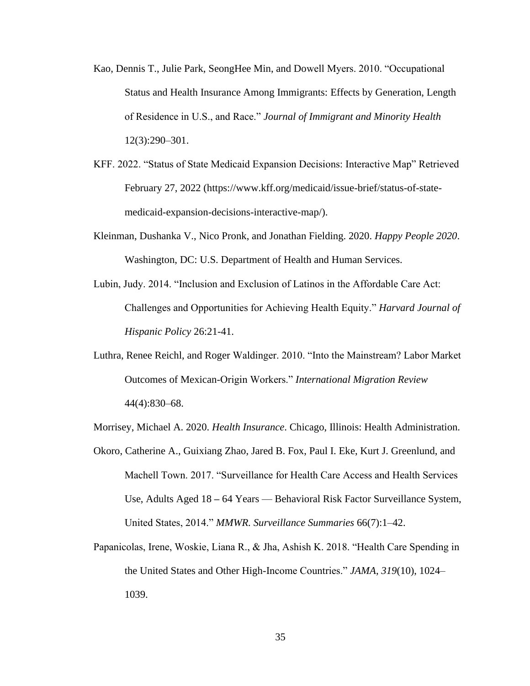- Kao, Dennis T., Julie Park, SeongHee Min, and Dowell Myers. 2010. "Occupational Status and Health Insurance Among Immigrants: Effects by Generation, Length of Residence in U.S., and Race." *Journal of Immigrant and Minority Health* 12(3):290–301.
- KFF. 2022. "Status of State Medicaid Expansion Decisions: Interactive Map" Retrieved February 27, 2022 (https://www.kff.org/medicaid/issue-brief/status-of-statemedicaid-expansion-decisions-interactive-map/).
- Kleinman, Dushanka V., Nico Pronk, and Jonathan Fielding. 2020. *Happy People 2020*. Washington, DC: U.S. Department of Health and Human Services.
- Lubin, Judy. 2014. "Inclusion and Exclusion of Latinos in the Affordable Care Act: Challenges and Opportunities for Achieving Health Equity." *Harvard Journal of Hispanic Policy* 26:21-41.
- Luthra, Renee Reichl, and Roger Waldinger. 2010. "Into the Mainstream? Labor Market Outcomes of Mexican-Origin Workers." *International Migration Review* 44(4):830–68.

Morrisey, Michael A. 2020. *Health Insurance*. Chicago, Illinois: Health Administration.

- Okoro, Catherine A., Guixiang Zhao, Jared B. Fox, Paul I. Eke, Kurt J. Greenlund, and Machell Town. 2017. "Surveillance for Health Care Access and Health Services Use, Adults Aged 18 **–** 64 Years — Behavioral Risk Factor Surveillance System, United States, 2014." *MMWR. Surveillance Summaries* 66(7):1–42.
- Papanicolas, Irene, Woskie, Liana R., & Jha, Ashish K. 2018. "Health Care Spending in the United States and Other High-Income Countries." *JAMA*, *319*(10), 1024– 1039.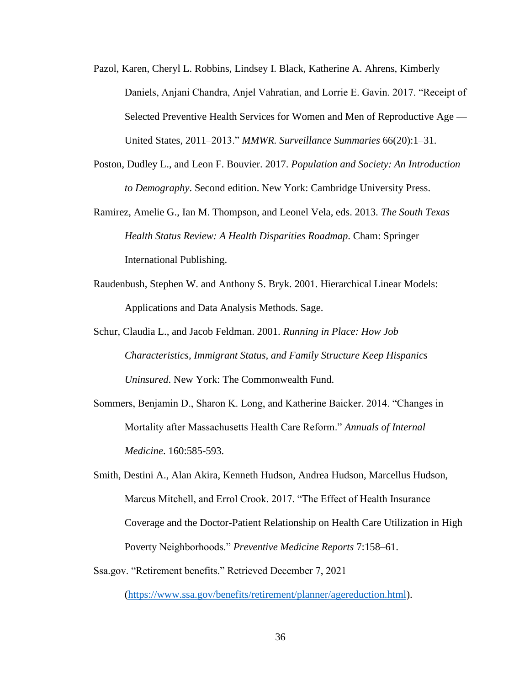- Pazol, Karen, Cheryl L. Robbins, Lindsey I. Black, Katherine A. Ahrens, Kimberly Daniels, Anjani Chandra, Anjel Vahratian, and Lorrie E. Gavin. 2017. "Receipt of Selected Preventive Health Services for Women and Men of Reproductive Age — United States, 2011–2013." *MMWR. Surveillance Summaries* 66(20):1–31.
- Poston, Dudley L., and Leon F. Bouvier. 2017. *Population and Society: An Introduction to Demography*. Second edition. New York: Cambridge University Press.
- Ramirez, Amelie G., Ian M. Thompson, and Leonel Vela, eds. 2013. *The South Texas Health Status Review: A Health Disparities Roadmap*. Cham: Springer International Publishing.
- Raudenbush, Stephen W. and Anthony S. Bryk. 2001. Hierarchical Linear Models: Applications and Data Analysis Methods. Sage.
- Schur, Claudia L., and Jacob Feldman. 2001. *Running in Place: How Job Characteristics, Immigrant Status, and Family Structure Keep Hispanics Uninsured*. New York: The Commonwealth Fund.
- Sommers, Benjamin D., Sharon K. Long, and Katherine Baicker. 2014. "Changes in Mortality after Massachusetts Health Care Reform." *Annuals of Internal Medicine*. 160:585-593.
- Smith, Destini A., Alan Akira, Kenneth Hudson, Andrea Hudson, Marcellus Hudson, Marcus Mitchell, and Errol Crook. 2017. "The Effect of Health Insurance Coverage and the Doctor-Patient Relationship on Health Care Utilization in High Poverty Neighborhoods." *Preventive Medicine Reports* 7:158–61.
- Ssa.gov. "Retirement benefits." Retrieved December 7, 2021

[\(https://www.ssa.gov/benefits/retirement/planner/agereduction.html\)](https://www.ssa.gov/benefits/retirement/planner/agereduction.html).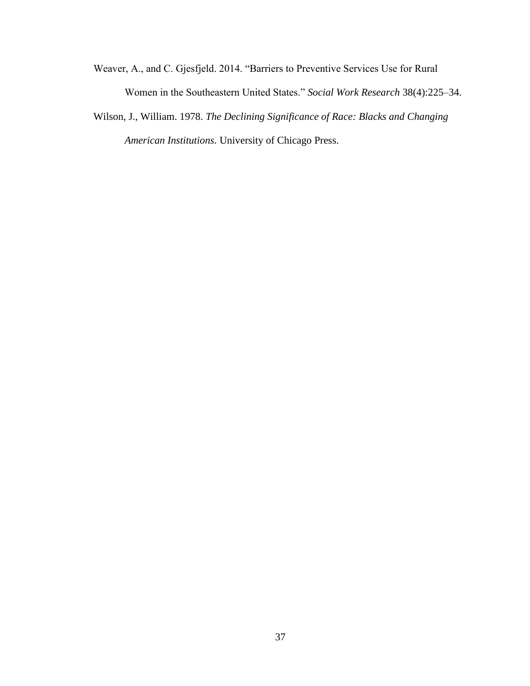- Weaver, A., and C. Gjesfjeld. 2014. "Barriers to Preventive Services Use for Rural Women in the Southeastern United States." *Social Work Research* 38(4):225–34.
- Wilson, J., William. 1978. *The Declining Significance of Race: Blacks and Changing American Institutions.* University of Chicago Press.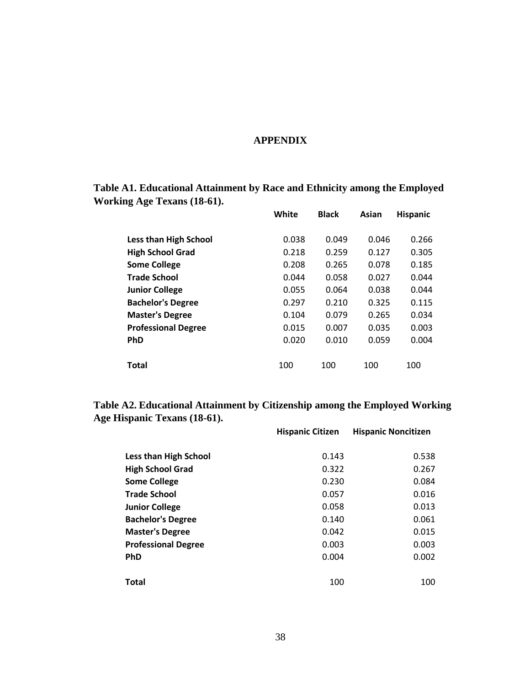## **APPENDIX**

**Table A1. Educational Attainment by Race and Ethnicity among the Employed Working Age Texans (18-61).**

|                              | White | <b>Black</b> | Asian | <b>Hispanic</b> |
|------------------------------|-------|--------------|-------|-----------------|
| <b>Less than High School</b> | 0.038 | 0.049        | 0.046 | 0.266           |
| <b>High School Grad</b>      | 0.218 | 0.259        | 0.127 | 0.305           |
| <b>Some College</b>          | 0.208 | 0.265        | 0.078 | 0.185           |
| <b>Trade School</b>          | 0.044 | 0.058        | 0.027 | 0.044           |
| <b>Junior College</b>        | 0.055 | 0.064        | 0.038 | 0.044           |
| <b>Bachelor's Degree</b>     | 0.297 | 0.210        | 0.325 | 0.115           |
| <b>Master's Degree</b>       | 0.104 | 0.079        | 0.265 | 0.034           |
| <b>Professional Degree</b>   | 0.015 | 0.007        | 0.035 | 0.003           |
| <b>PhD</b>                   | 0.020 | 0.010        | 0.059 | 0.004           |
|                              |       |              |       |                 |
| Total                        | 100   | 100          | 100   | 100             |

**Table A2. Educational Attainment by Citizenship among the Employed Working Age Hispanic Texans (18-61). Hispanic Citizen Hispanic Noncitizen**

|                              | <b>Hispanic Citizen</b> | <b>Hispanic Noncitizen</b> |
|------------------------------|-------------------------|----------------------------|
|                              |                         |                            |
| <b>Less than High School</b> | 0.143                   | 0.538                      |
| <b>High School Grad</b>      | 0.322                   | 0.267                      |
| <b>Some College</b>          | 0.230                   | 0.084                      |
| <b>Trade School</b>          | 0.057                   | 0.016                      |
| <b>Junior College</b>        | 0.058                   | 0.013                      |
| <b>Bachelor's Degree</b>     | 0.140                   | 0.061                      |
| <b>Master's Degree</b>       | 0.042                   | 0.015                      |
| <b>Professional Degree</b>   | 0.003                   | 0.003                      |
| <b>PhD</b>                   | 0.004                   | 0.002                      |
|                              |                         |                            |
| <b>Total</b>                 | 100                     | 100                        |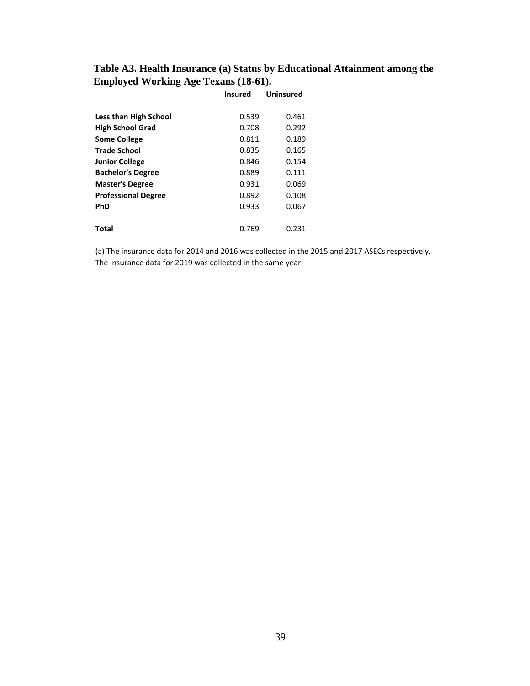## **Table A3. Health Insurance (a) Status by Educational Attainment among the Employed Working Age Texans (18-61).**

|                              | <b>Insured</b> | <b>Uninsured</b> |
|------------------------------|----------------|------------------|
|                              |                |                  |
| <b>Less than High School</b> | 0.539          | 0.461            |
| <b>High School Grad</b>      | 0.708          | 0.292            |
| <b>Some College</b>          | 0.811          | 0.189            |
| <b>Trade School</b>          | 0.835          | 0.165            |
| <b>Junior College</b>        | 0.846          | 0.154            |
| <b>Bachelor's Degree</b>     | 0.889          | 0.111            |
| <b>Master's Degree</b>       | 0.931          | 0.069            |
| <b>Professional Degree</b>   | 0.892          | 0.108            |
| PhD                          | 0.933          | 0.067            |
|                              |                |                  |
| Total                        | 0.769          | 0.231            |

(a) The insurance data for 2014 and 2016 was collected in the 2015 and 2017 ASECs respectively. The insurance data for 2019 was collected in the same year.